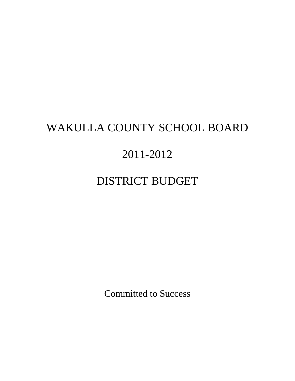# WAKULLA COUNTY SCHOOL BOARD

# 2011-2012

# DISTRICT BUDGET

Committed to Success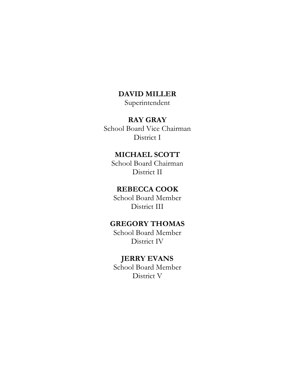# **DAVID MILLER**

Superintendent

# **RAY GRAY**

School Board Vice Chairman District I

# **MICHAEL SCOTT**

School Board Chairman District II

# **REBECCA COOK**

School Board Member District III

# **GREGORY THOMAS**

School Board Member District IV

# **JERRY EVANS**

School Board Member District V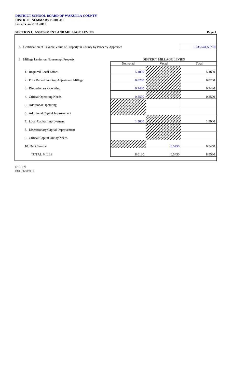#### **DISTRICT SCHOOL BOARD OF WAKULLA COUNTY DISTRICT SUMMARY BUDGET Fiscal Year 2011-2012**

# **SECTION I. ASSESSMENT AND MILLAGE LEVIES Page 1**

A. Certification of Taxable Value of Property in County by Property Appraiser 1,235,544,557.00

#### B. Millage Levies on Nonexempt Property:

- 1. Required Local Effort
- 2. Prior Period Funding Adjustment Millage
- 3. Discretionary Operating
- 4. Critical Operating Needs
- 5. Additional Operating
- 6. Additional Capital Improvement
- 7. Local Capital Improvement
- 8. Discretionary Capital Improvement
- 9. Critical Capital Outlay Needs
- 10. Debt Service
	- TOTAL MILLS

ESE 139 EXP. 06/30/2012

| Voted  |        |
|--------|--------|
|        | Total  |
|        | 5.4890 |
|        | 0.0260 |
|        |        |
|        | 0.7480 |
|        | 0.2500 |
|        |        |
|        |        |
|        | 1.5000 |
|        |        |
|        |        |
| 0.5450 | 0.5450 |
|        |        |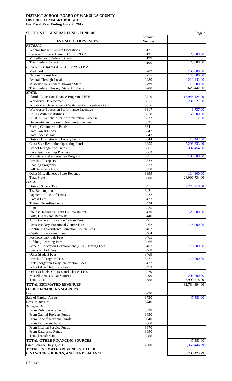# **SECTION II. GENERAL FUND - FUND 100 Page 2**

|                                                      |         | 1 agu <i>2</i> |
|------------------------------------------------------|---------|----------------|
|                                                      | Account |                |
| <b>ESTIMATED REVENUES</b>                            | Number  |                |
| <b>FEDERAL:</b>                                      |         |                |
| Federal Impact, Current Operations                   | 3121    |                |
| Reserve Officers Training Corps (ROTC)               | 3191    | 75,000.00      |
| Miscellaneous Federal Direct                         | 3199    |                |
| <b>Total Federal Direct</b>                          |         | 75,000.00      |
|                                                      | 3100    |                |
| FEDERAL THROUGH STATE AND LOCAL:                     |         |                |
| Medicaid                                             | 3202    | 160,000.00     |
| <b>National Forest Funds</b>                         | 3255    | 145,000.00     |
| Federal Through Local                                | 3280    | 213,442.00     |
| Miscellaneous Federal through State                  | 3299    | 110,000.00     |
| <b>Total Federal Through State And Local</b>         | 3200    | 628,442.00     |
| STATE:                                               |         |                |
|                                                      |         |                |
| Florida Education Finance Program (FEFP)             | 3310    | 17,944,124.00  |
| <b>Workforce Development</b>                         | 3315    | 231,527.00     |
| Workforce Development Capitalization Incentive Grant | 3316    |                |
| Workforce Education Performance Incentive            | 3317    | 3,737.00       |
| <b>Adults With Disabilities</b>                      | 3318    | 50,000.00      |
| CO & DS Withheld for Administrative Expense          | 3323    | 3,012.00       |
| Diagnostic and Learning Resources Centers            | 3335    |                |
|                                                      |         |                |
| <b>Racing Commission Funds</b>                       | 3341    |                |
| <b>State Forest Funds</b>                            | 3342    |                |
| <b>State License Tax</b>                             | 3343    |                |
| <b>District Discretionary Lottery Funds</b>          | 3344    | 13,447.00      |
| <b>Class Size Reduction Operating Funds</b>          | 3355    | 5,298,333.00   |
| <b>School Recognition Funds</b>                      | 3361    | 332,454.00     |
| <b>Excellent Teaching Program</b>                    | 3363    |                |
|                                                      |         |                |
| Voluntary Prekindergarten Program                    | 3371    | 100,000.00     |
| <b>Preschool Projects</b>                            | 3372    |                |
| <b>Reading Programs</b>                              | 3373    |                |
| <b>Full Service Schools</b>                          | 3378    |                |
| Other Miscellaneous State Revenue                    | 3399    | 114,100.00     |
| <b>Total State</b>                                   | 3300    | 24,090,734.00  |
| LOCAL:                                               |         |                |
|                                                      |         |                |
| District School Tax                                  | 3411    | 7,725,218.00   |
| <b>Tax Redemptions</b>                               | 3421    |                |
| Payment in Lieu of Taxes                             | 3422    |                |
| <b>Excess Fees</b>                                   | 3423    |                |
| Tuition (Non-Resident)                               | 3424    |                |
| Rent                                                 | 3425    |                |
|                                                      |         | 20,000.00      |
| Interest, Including Profit On Investment             | 3430    |                |
| Gifts, Grants and Bequests                           | 3440    |                |
| <b>Adult General Education Course Fees</b>           | 3461    |                |
| <b>Postsecondary Vocational Course Fees</b>          | 3462    | 14,000.00      |
| <b>Continuing Workforce Education Course Fees</b>    | 3463    |                |
| <b>Capital Improvement Fees</b>                      | 3464    |                |
| Postsecondary Lab Fees                               | 3465    |                |
|                                                      |         |                |
| <b>Lifelong Learning Fees</b>                        | 3466    |                |
| General Education Development (GED) Testing Fees     | 3467    | 15,000.00      |
| <b>Financial Aid Fees</b>                            | 3468    |                |
| <b>Other Student Fees</b>                            | 3469    |                |
| Preschool Program Fees                               | 3471    | 10,000.00      |
| Prekindergarten Early Intervention Fees              | 3472    |                |
| School Age Child Care Fees                           | 3473    |                |
|                                                      | 3479    |                |
| Other Schools, Courses and Classes Fees              |         |                |
| Miscellaneous Local Sources                          | 3490    | 206,000.00     |
| <b>Total Local</b>                                   | 3400    | 7,990,218.00   |
| <b>TOTAL ESTIMATED REVENUES</b>                      |         | 32,784,394.00  |
| <b>OTHER FINANCING SOURCES</b>                       |         |                |
| Loans                                                | 3720    |                |
| Sale of Capital Assets                               | 3730    | 47,583.00      |
|                                                      |         |                |
| <b>Loss Recoveries</b>                               | 3740    |                |
| Transfers In:                                        |         |                |
| From Debt Service Funds                              | 3620    |                |
| From Capital Projects Funds                          | 3630    |                |
| From Special Revenue Funds                           | 3640    |                |
| From Permanent Fund                                  | 3660    |                |
| From Internal Service Funds                          | 3670    |                |
|                                                      |         |                |
| From Enterprise Funds                                | 3690    |                |
| <b>Total Transfers In</b>                            | 3600    |                |
| TOTAL OTHER FINANCING SOURCES                        |         | 47,583.00      |
| Fund Balance, July 1, 2011                           | 2800    | 5,368,446.29   |
| <b>TOTAL ESTIMATED REVENUES, OTHER</b>               |         |                |
| FINANCING SOURCES, AND FUND BALANCE                  |         | 38,200,423.29  |
|                                                      |         |                |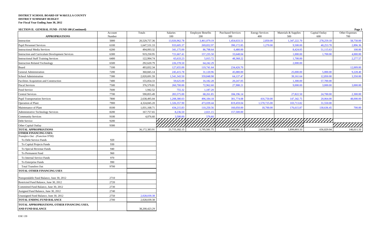| SECTION II. GENERAL FUND - FUND 100 (Continued)                |                   |               |                 |                                 |                                  |                               |                             |                       | Page 3                |
|----------------------------------------------------------------|-------------------|---------------|-----------------|---------------------------------|----------------------------------|-------------------------------|-----------------------------|-----------------------|-----------------------|
| <b>APPROPRIATIONS</b>                                          | Account<br>Number | Totals        | Salaries<br>100 | <b>Employee Benefits</b><br>200 | <b>Purchased Services</b><br>300 | <b>Energy Services</b><br>400 | Materials & Supplies<br>500 | Capital Outlay<br>600 | Other Expenses<br>700 |
| Instruction                                                    | 5000              | 20,529,757.36 | 13,926,962.78   | 3,461,079.19                    | 1,454,633.51                     | 2,850.00                      | 1,347,222.70                | 278,259.18            | 58,750.00             |
| <b>Pupil Personnel Services</b>                                | 6100              | 1,647,531.33  | 933,605.37      | 269,832.97                      | 390,172.85                       | 1,270.00                      | 9,500.00                    | 40,253.78             | 2,896.36              |
| <b>Instructional Media Services</b>                            | 6200              | 494,093.32    | 341,175.00      | 86,798.64                       | 6,480.00                         |                               | 8,424.05                    | 51,115.63             | 100.00                |
| <b>Instruction and Curriculum Development Services</b>         | 6300              | 919,250.95    | 721,667.41      | 157,235.50                      | 33,648.04                        |                               | 1,000.00                    | 1,700.00              | 4,000.00              |
| <b>Instructional Staff Training Services</b>                   | 6400              | 122,994.74    | 65,633.23       | 5,015.72                        | 48,368.22                        |                               | 1,700.00                    |                       | 2,277.57              |
| <b>Instruction Related Technology</b>                          | 6500              | 292,620.79    | 226,378.50      | 64,242.29                       |                                  |                               | 2,000.00                    |                       |                       |
| Board                                                          | 7100              | 493,832.34    | 127,655.00      | 119,741.64                      | 234,426.70                       |                               |                             |                       | 12,009.00             |
| General Administration                                         | 7200              | 360,845.14    | 245,415.78      | 31,120.96                       | 45,080.00                        |                               | 25,000.00                   | 5,000.00              | 9,228.40              |
| School Administration                                          | 7300              | 2,020,691.59  | 1,541,343.50    | 359,848.98                      | 64,137.47                        |                               | 39,161.64                   | 12,850.00             | 3,350.00              |
| Facilities Acquisition and Construction                        | 7400              | 155,054.33    | 59,625.00       | 16,182.28                       | 20,247.05                        |                               | 1,300.00                    | 57,700.00             |                       |
| <b>Fiscal Services</b>                                         | 7500              | 376,570.81    | 260,700.00      | 72,962.60                       | 27,908.21                        |                               | 9,000.00                    | 3,000.00              | 3,000.00              |
| Food Service                                                   | 7600              | 1,942.52      | 755.32          | 1,187.20                        |                                  |                               |                             |                       |                       |
| <b>Central Services</b>                                        | 7700              | 590,855.49    | 283,575.00      | 68,261.85                       | 184,196.14                       |                               | 27,822.50                   | 24,700.00             | 2,300.00              |
| <b>Pupil Transportation Services</b>                           | 7800              | 2,638,495.04  | 1,208,380.03    | 496,184.18                      | 301,774.08                       | 416,750.00                    | 147,342.75                  | 20,064.00             | 48,000.00             |
| Operation of Plant                                             | 7900              | 4,324,845.20  | 1,326,357.90    | 473,039.44                      | 819,459.04                       | 1,570,725.00                  | 103,713.82                  | 31,550.00             |                       |
| Maintenance of Plant                                           | 8100              | 1,031,168.71  | 434,215.83      | 110,250.56                      | 160,050.00                       | 18,700.00                     | 176,615.87                  | 130,636.45            | 700.00                |
| <b>Administrative Technology Services</b>                      | 8200              | 167,757.65    | 8,236.50        | 2,021.15                        | 157,500.00                       |                               |                             |                       |                       |
| <b>Community Services</b>                                      | 9100              | 4,076.60      | 3.500.00        | 576.60                          |                                  |                               |                             |                       |                       |
| Debt Service                                                   | 9200              |               |                 |                                 |                                  |                               |                             |                       |                       |
| Other Capital Outlay                                           | 9300              |               |                 |                                 |                                  |                               |                             |                       |                       |
| <b>TOTAL APPROPRIATIONS</b>                                    |                   | 36,172,383.91 | 21,715,182.15   | 5,795,581.75                    | 3,948,081.31                     | 2,010,295.00                  | 1,899,803.33                | 656,829.04            | 146,611.33            |
| <b>OTHER FINANCING USES:</b><br>Transfers Out: (Function 9700) |                   |               |                 |                                 |                                  |                               |                             |                       |                       |
| To Debt Service Funds                                          | 920               |               |                 |                                 |                                  |                               |                             |                       |                       |
| To Capital Projects Funds                                      | 930               |               |                 |                                 |                                  |                               |                             |                       |                       |
| To Special Revenue Funds                                       | 940               |               |                 |                                 |                                  |                               |                             |                       |                       |
| To Permanent Fund                                              | 960               |               |                 |                                 |                                  |                               |                             |                       |                       |
| To Internal Service Funds                                      | 970               |               |                 |                                 |                                  |                               |                             |                       |                       |
| To Enterprise Funds                                            | 990               |               |                 |                                 |                                  |                               |                             |                       |                       |
| <b>Total Transfers Out</b>                                     | 9700              |               |                 |                                 |                                  |                               |                             |                       |                       |
| TOTAL OTHER FINANCING USES                                     |                   |               |                 |                                 |                                  |                               |                             |                       |                       |
| Nonspendable Fund Balance, June 30, 2012                       | 2710              |               |                 |                                 |                                  |                               |                             |                       |                       |
| Restricted Fund Balance, June 30, 2012                         | 2720              |               |                 |                                 |                                  |                               |                             |                       |                       |
| Committed Fund Balance, June 30, 2012                          | 2730              |               |                 |                                 |                                  |                               |                             |                       |                       |
| Assigned Fund Balance, June 30, 2012                           | 2740              |               |                 |                                 |                                  |                               |                             |                       |                       |
| Unassigned Fund Balance, June 30, 2012                         | 2750              | 2,028,039.38  |                 |                                 |                                  |                               |                             |                       |                       |
| TOTAL ENDING FUND BALANCE                                      | 2700              | 2,028,039.38  |                 |                                 |                                  |                               |                             |                       |                       |
| TOTAL APPROPRIATIONS, OTHER FINANCING USES,                    |                   |               |                 |                                 |                                  |                               |                             |                       |                       |
| <b>AND FUND BALANCE</b>                                        |                   | 38,200,423.29 |                 |                                 |                                  |                               |                             |                       |                       |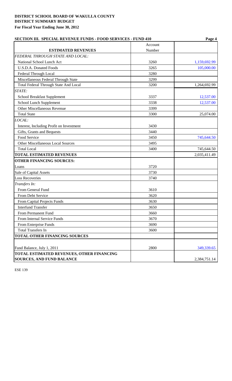| <b>SECTION III. SPECIAL REVENUE FUNDS - FOOD SERVICES - FUND 410</b> |         | Page 4       |
|----------------------------------------------------------------------|---------|--------------|
|                                                                      | Account |              |
| <b>ESTIMATED REVENUES</b>                                            | Number  |              |
| FEDERAL THROUGH STATE AND LOCAL:                                     |         |              |
| National School Lunch Act                                            | 3260    | 1,159,692.99 |
| U.S.D.A. Donated Foods                                               | 3265    | 105,000.00   |
| Federal Through Local                                                | 3280    |              |
| Miscellaneous Federal Through State                                  | 3299    |              |
| Total Federal Through State And Local                                | 3200    | 1,264,692.99 |
| STATE:                                                               |         |              |
| School Breakfast Supplement                                          | 3337    | 12,537.00    |
| School Lunch Supplement                                              | 3338    | 12,537.00    |
| Other Miscellaneous Revenue                                          | 3399    |              |
| <b>Total State</b>                                                   | 3300    | 25,074.00    |
| LOCAL:                                                               |         |              |
| Interest, Including Profit on Investment                             | 3430    |              |
| Gifts, Grants and Bequests                                           | 3440    |              |
| Food Service                                                         | 3450    | 745,644.50   |
| Other Miscellaneous Local Sources                                    | 3495    |              |
| <b>Total Local</b>                                                   | 3400    | 745,644.50   |
| <b>TOTAL ESTIMATED REVENUES</b>                                      |         | 2,035,411.49 |
| <b>OTHER FINANCING SOURCES:</b>                                      |         |              |
| Loans                                                                | 3720    |              |
| Sale of Capital Assets                                               | 3730    |              |
| <b>Loss Recoveries</b>                                               | 3740    |              |
| Transfers In:                                                        |         |              |
| From General Fund                                                    | 3610    |              |
| From Debt Service                                                    | 3620    |              |
| From Capital Projects Funds                                          | 3630    |              |
| <b>Interfund Transfer</b>                                            | 3650    |              |
| <b>From Permanent Fund</b>                                           | 3660    |              |
| From Internal Service Funds                                          | 3670    |              |
| From Enterprise Funds                                                | 3690    |              |
| <b>Total Transfers In</b>                                            | 3600    |              |
| TOTAL OTHER FINANCING SOURCES                                        |         |              |
|                                                                      |         |              |
| Fund Balance, July 1, 2011                                           | 2800    | 349,339.65   |
| TOTAL ESTIMATED REVENUES, OTHER FINANCING                            |         |              |
| <b>SOURCES, AND FUND BALANCE</b>                                     |         | 2,384,751.14 |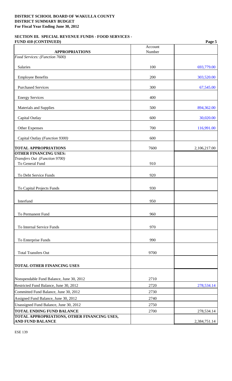### **SECTION III. SPECIAL REVENUE FUNDS - FOOD SERVICES - FUND 410 (CONTINUED) Page 5**

| <b>APPROPRIATIONS</b>                                                  | Account<br>Number |              |
|------------------------------------------------------------------------|-------------------|--------------|
| Food Services: (Function 7600)                                         |                   |              |
|                                                                        |                   |              |
| Salaries                                                               | 100               | 693,779.00   |
| <b>Employee Benefits</b>                                               | 200               | 303,520.00   |
| <b>Purchased Services</b>                                              | 300               | 67,545.00    |
| <b>Energy Services</b>                                                 | 400               |              |
| Materials and Supplies                                                 | 500               | 894,362.00   |
| Capital Outlay                                                         | 600               | 30,020.00    |
| <b>Other Expenses</b>                                                  | 700               | 116,991.00   |
| Capital Outlay (Function 9300)                                         | 600               |              |
| <b>TOTAL APPROPRIATIONS</b>                                            | 7600              | 2,106,217.00 |
| <b>OTHER FINANCING USES:</b><br>Transfers Out (Function 9700)          |                   |              |
| To General Fund                                                        | 910               |              |
| To Debt Service Funds                                                  | 920               |              |
|                                                                        |                   |              |
| To Capital Projects Funds                                              | 930               |              |
| Interfund                                                              | 950               |              |
| To Permanent Fund                                                      | 960               |              |
|                                                                        |                   |              |
| To Internal Service Funds                                              | 970               |              |
| To Enterprise Funds                                                    | 990               |              |
| <b>Total Transfers Out</b>                                             | 9700              |              |
| <b>TOTAL OTHER FINANCING USES</b>                                      |                   |              |
|                                                                        |                   |              |
| Nonspendable Fund Balance, June 30, 2012                               | 2710              |              |
| Restricted Fund Balance, June 30, 2012                                 | 2720              | 278,534.14   |
| Committed Fund Balance, June 30, 2012                                  | 2730              |              |
| Assigned Fund Balance, June 30, 2012                                   | 2740              |              |
| Unassigned Fund Balance, June 30, 2012                                 | 2750              |              |
| <b>TOTAL ENDING FUND BALANCE</b>                                       | 2700              | 278,534.14   |
| TOTAL APPROPRIATIONS, OTHER FINANCING USES,<br><b>AND FUND BALANCE</b> |                   | 2,384,751.14 |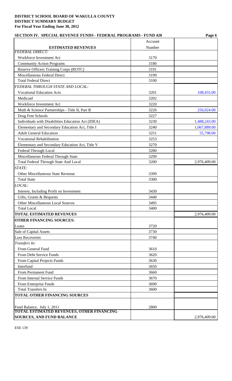| <b>SECTION IV. SPECIAL REVENUE FUNDS - FEDERAL PROGRAMS - FUND 420</b>         | Page 6  |              |
|--------------------------------------------------------------------------------|---------|--------------|
|                                                                                | Account |              |
| <b>ESTIMATED REVENUES</b>                                                      | Number  |              |
| <b>FEDERAL DIRECT:</b>                                                         |         |              |
| Workforce Investment Act                                                       | 3170    |              |
| <b>Community Action Programs</b>                                               | 3180    |              |
| Reserve Officers Training Corps (ROTC)                                         | 3191    |              |
| Miscellaneous Federal Direct                                                   | 3199    |              |
| <b>Total Federal Direct</b>                                                    | 3100    |              |
| FEDERAL THROUGH STATE AND LOCAL:                                               |         |              |
| <b>Vocational Education Acts</b>                                               | 3201    | 108,455.00   |
| Medicaid                                                                       | 3202    |              |
| Workforce Investment Act                                                       | 3220    |              |
| Math & Science Partnerships - Title II, Part B                                 | 3226    | 256,024.00   |
| Drug Free Schools                                                              | 3227    |              |
| Individuals with Disabilities Education Act (IDEA)                             | 3230    | 1,488,243.00 |
| Elementary and Secondary Education Act, Title I                                | 3240    | 1,067,889.00 |
| <b>Adult General Education</b>                                                 | 3251    | 55,798.00    |
| <b>Vocational Rehabilitation</b>                                               | 3253    |              |
| Elementary and Secondary Education Act, Title V                                | 3270    |              |
| Federal Through Local                                                          | 3280    |              |
| Miscellaneous Federal Through State                                            | 3299    |              |
| Total Federal Through State And Local                                          | 3200    | 2,976,409.00 |
| STATE:                                                                         |         |              |
| Other Miscellaneous State Revenue                                              | 3399    |              |
| <b>Total State</b>                                                             | 3300    |              |
| LOCAL:                                                                         |         |              |
| Interest, Including Profit on Investment                                       | 3430    |              |
| Gifts, Grants & Bequests                                                       | 3440    |              |
| <b>Other Miscellaneous Local Sources</b>                                       | 3495    |              |
| <b>Total Local</b>                                                             | 3400    |              |
| <b>TOTAL ESTIMATED REVENUES</b>                                                |         | 2,976,409.00 |
| <b>OTHER FINANCING SOURCES:</b>                                                |         |              |
| Loans                                                                          | 3720    |              |
| Sale of Capital Assets                                                         | 3730    |              |
| <b>Loss Recoveries</b>                                                         | 3740    |              |
| Transfers In:                                                                  |         |              |
| From General Fund                                                              | 3610    |              |
| From Debt Service Funds                                                        |         |              |
|                                                                                | 3620    |              |
| From Capital Projects Funds                                                    | 3630    |              |
| Interfund                                                                      | 3650    |              |
| From Permanent Fund                                                            | 3660    |              |
| From Internal Service Funds                                                    | 3670    |              |
| From Enterprise Funds                                                          | 3690    |              |
| <b>Total Transfers In</b>                                                      | 3600    |              |
| TOTAL OTHER FINANCING SOURCES                                                  |         |              |
|                                                                                |         |              |
| Fund Balance, July 1, 2011<br><b>TOTAL ESTIMATED REVENUES, OTHER FINANCING</b> | 2800    |              |
| <b>SOURCES, AND FUND BALANCE</b>                                               |         | 2,976,409.00 |
|                                                                                |         |              |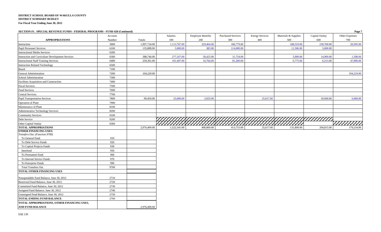**SECTION IV. SPECIAL REVENUE FUNDS - FEDERAL PROGRAMS - FUND 420 (Continued) Page 7**

| DECTION IV. DECISE REVENUE FUNDS - FEDERAL I ROORAND - FUND 420 (COMMUNI) | Account     |              | Salaries     | <b>Employee Benefits</b> | <b>Purchased Services</b> | <b>Energy Services</b> | Materials & Supplies | Capital Outlay | rage <i>i</i><br>Other Expenses |
|---------------------------------------------------------------------------|-------------|--------------|--------------|--------------------------|---------------------------|------------------------|----------------------|----------------|---------------------------------|
| <b>APPROPRIATIONS</b>                                                     | Number      | Totals       | 100          | 200                      | 300                       | 400                    | 500                  | 600            | 700                             |
| Instruction                                                               | 5000        | 1,997,734.00 | 1,113,767.00 | 329,464.00               | 186,779.00                |                        | 108,519.00           | 238,700.00     | 20,505.00                       |
| <b>Pupil Personnel Services</b>                                           | 6100        | 135,889.00   | 5,000.00     | 383.00                   | 114,000.00                |                        | 11,506.00            | 5,000.00       |                                 |
| <b>Instructional Media Services</b>                                       | 6200        |              |              |                          |                           |                        |                      |                |                                 |
| Instruction and Curriculum Development Services                           | 6300        | 388,746.00   | 277,167.00   | 58,425.00                | 31,754.00                 |                        | 5,000.00             | 14,900.00      | 1,500.00                        |
| <b>Instructional Staff Training Services</b>                              | 6400        | 259,361.00   | 101,407.00   | 16,764.00                | 81,200.00                 |                        | 6,775.00             | 6,215.00       | 47,000.00                       |
| <b>Instruction Related Technology</b>                                     | 6500        |              |              |                          |                           |                        |                      |                |                                 |
| Board                                                                     | 7100        |              |              |                          |                           |                        |                      |                |                                 |
| General Administration                                                    | 7200        | 104,229.00   |              |                          |                           |                        |                      |                | 104,229.00                      |
| School Administration                                                     | 7300        |              |              |                          |                           |                        |                      |                |                                 |
| Facilities Acquisition and Construction                                   | 7400        |              |              |                          |                           |                        |                      |                |                                 |
| <b>Fiscal Services</b>                                                    | 7500        |              |              |                          |                           |                        |                      |                |                                 |
| Food Services                                                             | 7600        |              |              |                          |                           |                        |                      |                |                                 |
| <b>Central Services</b>                                                   | 7700        |              |              |                          |                           |                        |                      |                |                                 |
| <b>Pupil Transportation Services</b>                                      | 7800        | 90,450.00    | 25,000.00    | 3,833.00                 |                           | 25,617.00              |                      | 30,000.00      | 6,000.00                        |
| Operation of Plant                                                        | 7900        |              |              |                          |                           |                        |                      |                |                                 |
| Maintenance of Plant                                                      | 8100        |              |              |                          |                           |                        |                      |                |                                 |
| Administrative Technology Services                                        | 8200        |              |              |                          |                           |                        |                      |                |                                 |
| <b>Community Services</b>                                                 | 9100        |              |              |                          |                           |                        |                      |                |                                 |
| Debt Service                                                              | 9200        |              |              |                          |                           |                        |                      |                |                                 |
| Other Capital Outlay                                                      | 9300        |              |              |                          |                           |                        |                      |                |                                 |
| <b>TOTAL APPROPRIATIONS</b>                                               |             | 2,976,409.00 | 1,522,341.00 | 408,869.00               | 413,733.00                | 25,617.00              | 131,800.00           | 294,815.00     | 179,234.00                      |
| <b>OTHER FINANCING USES:</b>                                              |             |              |              |                          |                           |                        |                      |                |                                 |
| Transfers Out: (Function 9700)                                            |             |              |              |                          |                           |                        |                      |                |                                 |
| To General Fund                                                           | 910         |              |              |                          |                           |                        |                      |                |                                 |
| To Debt Service Funds                                                     | 920         |              |              |                          |                           |                        |                      |                |                                 |
| To Capital Projects Funds                                                 | 930         |              |              |                          |                           |                        |                      |                |                                 |
| Interfund                                                                 | 950         |              |              |                          |                           |                        |                      |                |                                 |
| To Permanent Fund                                                         | 960         |              |              |                          |                           |                        |                      |                |                                 |
| To Internal Service Funds                                                 | 970         |              |              |                          |                           |                        |                      |                |                                 |
| To Enterprise Funds<br><b>Total Transfers Out</b>                         | 990<br>9700 |              |              |                          |                           |                        |                      |                |                                 |
| TOTAL OTHER FINANCING USES                                                |             |              |              |                          |                           |                        |                      |                |                                 |
|                                                                           |             |              |              |                          |                           |                        |                      |                |                                 |
| Nonspendable Fund Balance, June 30, 2012                                  | 2710        |              |              |                          |                           |                        |                      |                |                                 |
| Restricted Fund Balance, June 30, 2012                                    | 2720        |              |              |                          |                           |                        |                      |                |                                 |
| Committed Fund Balance, June 30, 2012                                     | 2730        |              |              |                          |                           |                        |                      |                |                                 |
| Assigned Fund Balance, June 30, 2012                                      | 2740        |              |              |                          |                           |                        |                      |                |                                 |
| Unassigned Fund Balance, June 30, 2012                                    | 2750        |              |              |                          |                           |                        |                      |                |                                 |
| <b>TOTAL ENDING FUND BALANCE</b>                                          | 2700        |              |              |                          |                           |                        |                      |                |                                 |
| TOTAL APPROPRIATIONS, OTHER FINANCING USES,                               |             |              |              |                          |                           |                        |                      |                |                                 |
| AND FUND BALANCE                                                          |             | 2,976,409.00 |              |                          |                           |                        |                      |                |                                 |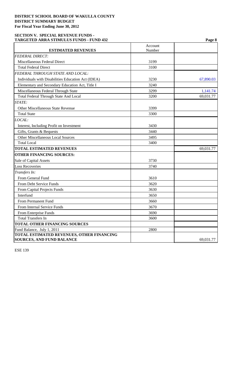# **SECTION V. SPECIAL REVENUE FUNDS - TARGETED ARRA STIMULUS FUNDS - FUND 432 Page 8**

|                                                             | Account<br>Number |           |
|-------------------------------------------------------------|-------------------|-----------|
| <b>ESTIMATED REVENUES</b><br><b>FEDERAL DIRECT:</b>         |                   |           |
|                                                             |                   |           |
| Miscellaneous Federal Direct<br><b>Total Federal Direct</b> | 3199<br>3100      |           |
|                                                             |                   |           |
| FEDERAL THROUGH STATE AND LOCAL:                            |                   |           |
| Individuals with Disabilities Education Act (IDEA)          | 3230              | 67,890.03 |
| Elementary and Secondary Education Act, Title I             | 3240              |           |
| Miscellaneous Federal Through State                         | 3299              | 1,141.74  |
| Total Federal Through State And Local                       | 3200              | 69,031.77 |
| STATE:                                                      |                   |           |
| <b>Other Miscellaneous State Revenue</b>                    | 3399              |           |
| <b>Total State</b>                                          | 3300              |           |
| LOCAL:                                                      |                   |           |
| Interest, Including Profit on Investment                    | 3430              |           |
| Gifts, Grants & Bequests                                    | 3440              |           |
| <b>Other Miscellaneous Local Sources</b>                    | 3495              |           |
| <b>Total Local</b>                                          | 3400              |           |
| <b>TOTAL ESTIMATED REVENUES</b>                             |                   | 69,031.77 |
| <b>OTHER FINANCING SOURCES:</b>                             |                   |           |
| Sale of Capital Assets                                      | 3730              |           |
| <b>Loss Recoveries</b>                                      | 3740              |           |
| Transfers In:                                               |                   |           |
| From General Fund                                           | 3610              |           |
| From Debt Service Funds                                     | 3620              |           |
| From Capital Projects Funds                                 | 3630              |           |
| Interfund                                                   | 3650              |           |
| From Permanent Fund                                         | 3660              |           |
| From Internal Service Funds                                 | 3670              |           |
| From Enterprise Funds                                       | 3690              |           |
| <b>Total Transfers In</b>                                   | 3600              |           |
| <b>TOTAL OTHER FINANCING SOURCES</b>                        |                   |           |
| Fund Balance, July 1, 2011                                  | 2800              |           |
| TOTAL ESTIMATED REVENUES, OTHER FINANCING                   |                   |           |
| <b>SOURCES, AND FUND BALANCE</b>                            |                   | 69,031.77 |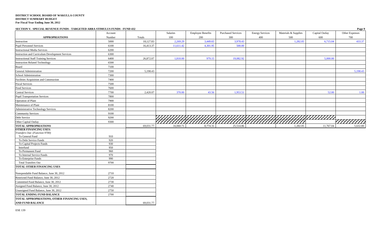**SECTION V. SPECIAL REVENUE FUNDS - TARGETED ARRA STIMULUS FUNDS - FUND 432 Page 9**

|                                                    | Account    |           | Salaries  | <b>Employee Benefits</b> | <b>Purchased Services</b> | <b>Energy Services</b> | Materials & Supplies | Capital Outlay | Other Expenses |
|----------------------------------------------------|------------|-----------|-----------|--------------------------|---------------------------|------------------------|----------------------|----------------|----------------|
| <b>APPROPRIATIONS</b>                              | Number     | Totals    | 100       | 200                      | 300                       | 400                    | 500                  | 600            | 700            |
| Instruction                                        | 5000       | 18,127.83 | 2,269.29  | 3,449.65                 | 3,978.43                  |                        | 1,282.05             | 6,715.04       | 433.37         |
| <b>Pupil Personnel Services</b>                    | 6100       | 16,413.37 | 11,611.42 | 4,301.95                 | 500.00                    |                        |                      |                |                |
| <b>Instructional Media Services</b>                | 6200       |           |           |                          |                           |                        |                      |                |                |
| Instruction and Curriculum Development Services    | 6300       |           |           |                          |                           |                        |                      |                |                |
| <b>Instructional Staff Training Services</b>       | 6400       | 26,872.07 | 1,810.00  | 979.15                   | 19,082.92                 |                        |                      | 5,000.00       |                |
| <b>Instruction Related Technology</b>              | 6500       |           |           |                          |                           |                        |                      |                |                |
| Board                                              | 7100       |           |           |                          |                           |                        |                      |                |                |
| General Administration                             | 7200       | 5,198.43  |           |                          |                           |                        |                      |                | 5,198.43       |
| School Administration                              | 7300       |           |           |                          |                           |                        |                      |                |                |
| Facilities Acquisition and Construction            | 7400       |           |           |                          |                           |                        |                      |                |                |
| <b>Fiscal Services</b>                             | 7500       |           |           |                          |                           |                        |                      |                |                |
| Food Services                                      | 7600       |           |           |                          |                           |                        |                      |                |                |
| <b>Central Services</b>                            | 7700       | 2,420.07  | 370.00    | 43.56                    | 1,953.51                  |                        |                      | 52.00          | 1.00           |
| <b>Pupil Transportation Services</b>               | 7800       |           |           |                          |                           |                        |                      |                |                |
| Operation of Plant                                 | 7900       |           |           |                          |                           |                        |                      |                |                |
| Maintenance of Plant                               | 8100       |           |           |                          |                           |                        |                      |                |                |
| Administrative Technology Services                 | 8200       |           |           |                          |                           |                        |                      |                |                |
| <b>Community Services</b>                          | 9100       |           |           |                          |                           |                        |                      |                |                |
| Debt Service                                       | 9200       |           |           |                          |                           |                        |                      |                |                |
| Other Capital Outlay                               | 9300       |           |           |                          |                           |                        |                      |                | 7777777777     |
| <b>TOTAL APPROPRIATIONS</b>                        |            | 69,031.77 | 16,060.71 | 8,774.31                 | 25,514.86                 |                        | 1,282.05             | 11,767.04      | 5,632.80       |
| <b>OTHER FINANCING USES:</b>                       |            |           |           |                          |                           |                        |                      |                |                |
| Transfers Out: (Function 9700)                     |            |           |           |                          |                           |                        |                      |                |                |
| To General Fund                                    | 910<br>920 |           |           |                          |                           |                        |                      |                |                |
| To Debt Service Funds<br>To Capital Projects Funds | 930        |           |           |                          |                           |                        |                      |                |                |
| Interfund                                          | 950        |           |           |                          |                           |                        |                      |                |                |
| To Permanent Fund                                  | 960        |           |           |                          |                           |                        |                      |                |                |
| To Internal Service Funds                          | 970        |           |           |                          |                           |                        |                      |                |                |
| To Enterprise Funds                                | 990        |           |           |                          |                           |                        |                      |                |                |
| <b>Total Transfers Out</b>                         | 9700       |           |           |                          |                           |                        |                      |                |                |
| TOTAL OTHER FINANCING USES                         |            |           |           |                          |                           |                        |                      |                |                |
| Nonspendable Fund Balance, June 30, 2012           | 2710       |           |           |                          |                           |                        |                      |                |                |
| Restricted Fund Balance, June 30, 2012             | 2720       |           |           |                          |                           |                        |                      |                |                |
| Committed Fund Balance, June 30, 2012              | 2730       |           |           |                          |                           |                        |                      |                |                |
| Assigned Fund Balance, June 30, 2012               | 2740       |           |           |                          |                           |                        |                      |                |                |
| Unassigned Fund Balance, June 30, 2012             | 2750       |           |           |                          |                           |                        |                      |                |                |
| <b>TOTAL ENDING FUND BALANCE</b>                   | 2700       |           |           |                          |                           |                        |                      |                |                |
| TOTAL APPROPRIATIONS, OTHER FINANCING USES,        |            |           |           |                          |                           |                        |                      |                |                |
| <b>AND FUND BALANCE</b>                            |            | 69,031.77 |           |                          |                           |                        |                      |                |                |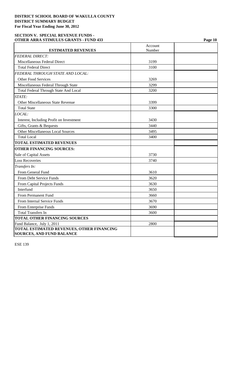### **SECTION V. SPECIAL REVENUE FUNDS - OTHER ARRA STIMULUS GRANTS - FUND 433 Page 10**

|                                              | Account |  |
|----------------------------------------------|---------|--|
| <b>ESTIMATED REVENUES</b>                    | Number  |  |
| <b>FEDERAL DIRECT:</b>                       |         |  |
| Miscellaneous Federal Direct                 | 3199    |  |
| <b>Total Federal Direct</b>                  | 3100    |  |
| <b>FEDERAL THROUGH STATE AND LOCAL:</b>      |         |  |
| <b>Other Food Services</b>                   | 3269    |  |
| Miscellaneous Federal Through State          | 3299    |  |
| <b>Total Federal Through State And Local</b> | 3200    |  |
| STATE:                                       |         |  |
| <b>Other Miscellaneous State Revenue</b>     | 3399    |  |
| <b>Total State</b>                           | 3300    |  |
| LOCAL:                                       |         |  |
| Interest, Including Profit on Investment     | 3430    |  |
| Gifts, Grants & Bequests                     | 3440    |  |
| <b>Other Miscellaneous Local Sources</b>     | 3495    |  |
| <b>Total Local</b>                           | 3400    |  |
| <b>TOTAL ESTIMATED REVENUES</b>              |         |  |
| <b>OTHER FINANCING SOURCES:</b>              |         |  |
| Sale of Capital Assets                       | 3730    |  |
| <b>Loss Recoveries</b>                       | 3740    |  |
| Transfers In:                                |         |  |
| From General Fund                            | 3610    |  |
| From Debt Service Funds                      | 3620    |  |
| From Capital Projects Funds                  | 3630    |  |
| Interfund                                    | 3650    |  |
| From Permanent Fund                          | 3660    |  |
| From Internal Service Funds                  | 3670    |  |
| From Enterprise Funds                        | 3690    |  |
| <b>Total Transfers In</b>                    | 3600    |  |
| <b>TOTAL OTHER FINANCING SOURCES</b>         |         |  |
| Fund Balance, July 1, 2011                   | 2800    |  |
| TOTAL ESTIMATED REVENUES, OTHER FINANCING    |         |  |
| <b>SOURCES, AND FUND BALANCE</b>             |         |  |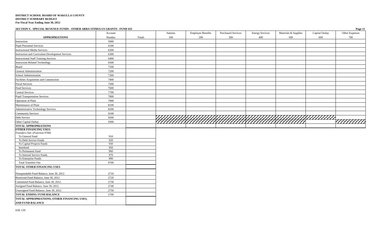**SECTION V. SPECIAL REVENUE FUNDS - OTHER ARRA STIMULUS GRANTS - FUND 433 Page 11**

|                                                 | Account |        | Salaries | <b>Employee Benefits</b> | <b>Purchased Services</b> | <b>Energy Services</b> | Materials & Supplies | Capital Outlay | Other Expenses |
|-------------------------------------------------|---------|--------|----------|--------------------------|---------------------------|------------------------|----------------------|----------------|----------------|
| <b>APPROPRIATIONS</b>                           | Number  | Totals | 100      | 200                      | 300                       | 400                    | 500                  | 600            | 700            |
| Instruction                                     | 5000    |        |          |                          |                           |                        |                      |                |                |
| <b>Pupil Personnel Services</b>                 | 6100    |        |          |                          |                           |                        |                      |                |                |
| <b>Instructional Media Services</b>             | 6200    |        |          |                          |                           |                        |                      |                |                |
| Instruction and Curriculum Development Services | 6300    |        |          |                          |                           |                        |                      |                |                |
| <b>Instructional Staff Training Services</b>    | 6400    |        |          |                          |                           |                        |                      |                |                |
| <b>Instruction Related Technology</b>           | 6500    |        |          |                          |                           |                        |                      |                |                |
| Board                                           | 7100    |        |          |                          |                           |                        |                      |                |                |
| General Administration                          | 7200    |        |          |                          |                           |                        |                      |                |                |
| School Administration                           | 7300    |        |          |                          |                           |                        |                      |                |                |
| Facilities Acquisition and Construction         | 7400    |        |          |                          |                           |                        |                      |                |                |
| <b>Fiscal Services</b>                          | 7500    |        |          |                          |                           |                        |                      |                |                |
| Food Services                                   | 7600    |        |          |                          |                           |                        |                      |                |                |
| <b>Central Services</b>                         | 7700    |        |          |                          |                           |                        |                      |                |                |
| <b>Pupil Transportation Services</b>            | 7800    |        |          |                          |                           |                        |                      |                |                |
| Operation of Plant                              | 7900    |        |          |                          |                           |                        |                      |                |                |
| Maintenance of Plant                            | 8100    |        |          |                          |                           |                        |                      |                |                |
| Administrative Technology Services              | 8200    |        |          |                          |                           |                        |                      |                |                |
| <b>Community Services</b>                       | 9100    |        |          |                          |                           |                        |                      |                |                |
| Debt Service                                    | 9200    |        |          |                          |                           |                        |                      |                |                |
| Other Capital Outlay                            | 9300    |        |          |                          |                           |                        |                      |                | 7777777777     |
| <b>TOTAL APPROPRIATIONS</b>                     |         |        |          |                          |                           |                        |                      |                |                |
| <b>OTHER FINANCING USES:</b>                    |         |        |          |                          |                           |                        |                      |                |                |
| Transfers Out: (Function 9700)                  |         |        |          |                          |                           |                        |                      |                |                |
| To General Fund                                 | 910     |        |          |                          |                           |                        |                      |                |                |
| To Debt Service Funds                           | 920     |        |          |                          |                           |                        |                      |                |                |
| To Capital Projects Funds                       | 930     |        |          |                          |                           |                        |                      |                |                |
| Interfund                                       | 950     |        |          |                          |                           |                        |                      |                |                |
| To Permanent Fund                               | 960     |        |          |                          |                           |                        |                      |                |                |
| To Internal Service Funds                       | 970     |        |          |                          |                           |                        |                      |                |                |
| To Enterprise Funds                             | 990     |        |          |                          |                           |                        |                      |                |                |
| Total Transfers Out                             | 9700    |        |          |                          |                           |                        |                      |                |                |
| <b>TOTAL OTHER FINANCING USES</b>               |         |        |          |                          |                           |                        |                      |                |                |
| Nonspendable Fund Balance, June 30, 2012        | 2710    |        |          |                          |                           |                        |                      |                |                |
| Restricted Fund Balance, June 30, 2012          | 2720    |        |          |                          |                           |                        |                      |                |                |
| Committed Fund Balance, June 30, 2012           | 2730    |        |          |                          |                           |                        |                      |                |                |
| Assigned Fund Balance, June 30, 2012            | 2740    |        |          |                          |                           |                        |                      |                |                |
| Unassigned Fund Balance, June 30, 2012          | 2750    |        |          |                          |                           |                        |                      |                |                |
| <b>TOTAL ENDING FUND BALANCE</b>                | 2700    |        |          |                          |                           |                        |                      |                |                |
| TOTAL APPROPRIATIONS, OTHER FINANCING USES,     |         |        |          |                          |                           |                        |                      |                |                |
| <b>AND FUND BALANCE</b>                         |         |        |          |                          |                           |                        |                      |                |                |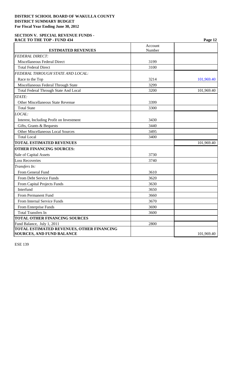#### **SECTION V. SPECIAL REVENUE FUNDS -**  RACE TO THE TOP - FUND 434 **Page 12 Page 12**

|                                              | Account |            |
|----------------------------------------------|---------|------------|
| <b>ESTIMATED REVENUES</b>                    | Number  |            |
| <b>FEDERAL DIRECT:</b>                       |         |            |
| Miscellaneous Federal Direct                 | 3199    |            |
| <b>Total Federal Direct</b>                  | 3100    |            |
| FEDERAL THROUGH STATE AND LOCAL:             |         |            |
| Race to the Top                              | 3214    | 101,969.40 |
| Miscellaneous Federal Through State          | 3299    |            |
| <b>Total Federal Through State And Local</b> | 3200    | 101,969.40 |
| STATE:                                       |         |            |
| <b>Other Miscellaneous State Revenue</b>     | 3399    |            |
| <b>Total State</b>                           | 3300    |            |
| LOCAL:                                       |         |            |
| Interest, Including Profit on Investment     | 3430    |            |
| Gifts, Grants & Bequests                     | 3440    |            |
| <b>Other Miscellaneous Local Sources</b>     | 3495    |            |
| <b>Total Local</b>                           | 3400    |            |
| <b>TOTAL ESTIMATED REVENUES</b>              |         | 101,969.40 |
| <b>OTHER FINANCING SOURCES:</b>              |         |            |
| Sale of Capital Assets                       | 3730    |            |
| <b>Loss Recoveries</b>                       | 3740    |            |
| Transfers In:                                |         |            |
| From General Fund                            | 3610    |            |
| From Debt Service Funds                      | 3620    |            |
| From Capital Projects Funds                  | 3630    |            |
| Interfund                                    | 3650    |            |
| From Permanent Fund                          | 3660    |            |
| From Internal Service Funds                  | 3670    |            |
| From Enterprise Funds                        | 3690    |            |
| <b>Total Transfers In</b>                    | 3600    |            |
| <b>TOTAL OTHER FINANCING SOURCES</b>         |         |            |
| Fund Balance, July 1, 2011                   | 2800    |            |
| TOTAL ESTIMATED REVENUES, OTHER FINANCING    |         |            |
| <b>SOURCES, AND FUND BALANCE</b>             |         | 101,969.40 |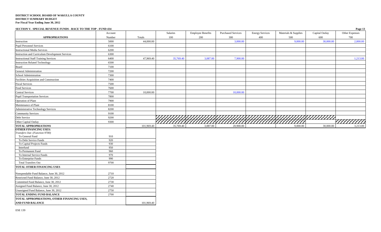**SECTION V. SPECIAL REVENUE FUNDS - RACE TO THE TOP - FUND 434 Page 13**

|                                                 | Account |            | Salaries  | <b>Employee Benefits</b> | <b>Purchased Services</b> | <b>Energy Services</b> | Materials & Supplies | Capital Outlay | $  -$<br>Other Expenses |
|-------------------------------------------------|---------|------------|-----------|--------------------------|---------------------------|------------------------|----------------------|----------------|-------------------------|
| <b>APPROPRIATIONS</b>                           | Number  | Totals     | 100       | 200                      | 300                       | 400                    | 500                  | 600            | 700                     |
| Instruction                                     | 5000    | 44,000.00  |           |                          | 3,000.00                  |                        | 9,000.00             | 30,000.00      | 2,000.00                |
| <b>Pupil Personnel Services</b>                 | 6100    |            |           |                          |                           |                        |                      |                |                         |
| <b>Instructional Media Services</b>             | 6200    |            |           |                          |                           |                        |                      |                |                         |
| Instruction and Curriculum Development Services | 6300    |            |           |                          |                           |                        |                      |                |                         |
| <b>Instructional Staff Training Services</b>    | 6400    | 47,969.40  | 35,769.40 | 3,087.00                 | 7,900.00                  |                        |                      |                | 1,213.00                |
| <b>Instruction Related Technology</b>           | 6500    |            |           |                          |                           |                        |                      |                |                         |
| Board                                           | 7100    |            |           |                          |                           |                        |                      |                |                         |
| General Administration                          | 7200    |            |           |                          |                           |                        |                      |                |                         |
| School Administration                           | 7300    |            |           |                          |                           |                        |                      |                |                         |
| Facilities Acquisition and Construction         | 7400    |            |           |                          |                           |                        |                      |                |                         |
| <b>Fiscal Services</b>                          | 7500    |            |           |                          |                           |                        |                      |                |                         |
| Food Services                                   | 7600    |            |           |                          |                           |                        |                      |                |                         |
| <b>Central Services</b>                         | 7700    | 10,000.00  |           |                          | 10,000.00                 |                        |                      |                |                         |
| <b>Pupil Transportation Services</b>            | 7800    |            |           |                          |                           |                        |                      |                |                         |
| Operation of Plant                              | 7900    |            |           |                          |                           |                        |                      |                |                         |
| Maintenance of Plant                            | 8100    |            |           |                          |                           |                        |                      |                |                         |
| Administrative Technology Services              | 8200    |            |           |                          |                           |                        |                      |                |                         |
| <b>Community Services</b>                       | 9100    |            |           |                          |                           |                        |                      |                |                         |
| Debt Service                                    | 9200    |            |           |                          |                           |                        |                      |                |                         |
| Other Capital Outlay                            | 9300    |            |           |                          |                           |                        |                      |                | <u>/////////</u>        |
| <b>TOTAL APPROPRIATIONS</b>                     |         | 101,969.40 | 35,769.40 | 3,087.00                 | 20,900.00                 |                        | 9,000.00             | 30,000.00      | 3,213.00                |
| <b>OTHER FINANCING USES:</b>                    |         |            |           |                          |                           |                        |                      |                |                         |
| Transfers Out: (Function 9700)                  |         |            |           |                          |                           |                        |                      |                |                         |
| To General Fund                                 | 910     |            |           |                          |                           |                        |                      |                |                         |
| To Debt Service Funds                           | 920     |            |           |                          |                           |                        |                      |                |                         |
| To Capital Projects Funds                       | 930     |            |           |                          |                           |                        |                      |                |                         |
| Interfund                                       | 950     |            |           |                          |                           |                        |                      |                |                         |
| To Permanent Fund                               | 960     |            |           |                          |                           |                        |                      |                |                         |
| To Internal Service Funds                       | 970     |            |           |                          |                           |                        |                      |                |                         |
| To Enterprise Funds                             | 990     |            |           |                          |                           |                        |                      |                |                         |
| <b>Total Transfers Out</b>                      | 9700    |            |           |                          |                           |                        |                      |                |                         |
| <b>TOTAL OTHER FINANCING USES</b>               |         |            |           |                          |                           |                        |                      |                |                         |
| Nonspendable Fund Balance, June 30, 2012        | 2710    |            |           |                          |                           |                        |                      |                |                         |
| Restricted Fund Balance, June 30, 2012          | 2720    |            |           |                          |                           |                        |                      |                |                         |
| Committed Fund Balance, June 30, 2012           | 2730    |            |           |                          |                           |                        |                      |                |                         |
| Assigned Fund Balance, June 30, 2012            | 2740    |            |           |                          |                           |                        |                      |                |                         |
| Unassigned Fund Balance, June 30, 2012          | 2750    |            |           |                          |                           |                        |                      |                |                         |
| <b>TOTAL ENDING FUND BALANCE</b>                | 2700    |            |           |                          |                           |                        |                      |                |                         |
| TOTAL APPROPRIATIONS, OTHER FINANCING USES,     |         |            |           |                          |                           |                        |                      |                |                         |
| <b>AND FUND BALANCE</b>                         |         | 101,969.40 |           |                          |                           |                        |                      |                |                         |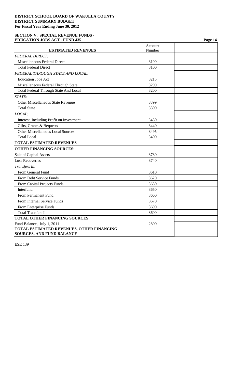#### **SECTION V. SPECIAL REVENUE FUNDS - EDUCATION JOBS ACT - FUND 435 Page 14**

|                                           | Account |  |
|-------------------------------------------|---------|--|
| <b>ESTIMATED REVENUES</b>                 | Number  |  |
| <b>FEDERAL DIRECT:</b>                    |         |  |
| Miscellaneous Federal Direct              | 3199    |  |
| <b>Total Federal Direct</b>               | 3100    |  |
| FEDERAL THROUGH STATE AND LOCAL:          |         |  |
| <b>Education Jobs Act</b>                 | 3215    |  |
| Miscellaneous Federal Through State       | 3299    |  |
| Total Federal Through State And Local     | 3200    |  |
| STATE:                                    |         |  |
| Other Miscellaneous State Revenue         | 3399    |  |
| <b>Total State</b>                        | 3300    |  |
| LOCAL:                                    |         |  |
| Interest, Including Profit on Investment  | 3430    |  |
| Gifts, Grants & Bequests                  | 3440    |  |
| <b>Other Miscellaneous Local Sources</b>  | 3495    |  |
| <b>Total Local</b>                        | 3400    |  |
| <b>TOTAL ESTIMATED REVENUES</b>           |         |  |
| <b>OTHER FINANCING SOURCES:</b>           |         |  |
| Sale of Capital Assets                    | 3730    |  |
| <b>Loss Recoveries</b>                    | 3740    |  |
| Transfers In:                             |         |  |
| From General Fund                         | 3610    |  |
| From Debt Service Funds                   | 3620    |  |
| From Capital Projects Funds               | 3630    |  |
| Interfund                                 | 3650    |  |
| From Permanent Fund                       | 3660    |  |
| From Internal Service Funds               | 3670    |  |
| From Enterprise Funds                     | 3690    |  |
| <b>Total Transfers In</b>                 | 3600    |  |
| <b>TOTAL OTHER FINANCING SOURCES</b>      |         |  |
| Fund Balance, July 1, 2011                | 2800    |  |
| TOTAL ESTIMATED REVENUES, OTHER FINANCING |         |  |
| <b>SOURCES, AND FUND BALANCE</b>          |         |  |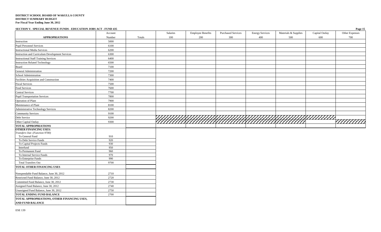**SECTION V. SPECIAL REVENUE FUNDS - EDUCATION JOBS ACT - FUND 435 Page 15**

|                                                                        | Account    |        | Salaries | <b>Employee Benefits</b> | <b>Purchased Services</b> | <b>Energy Services</b> | Materials & Supplies | Capital Outlay | Other Expenses |
|------------------------------------------------------------------------|------------|--------|----------|--------------------------|---------------------------|------------------------|----------------------|----------------|----------------|
| <b>APPROPRIATIONS</b>                                                  | Number     | Totals | 100      | 200                      | 300                       | 400                    | 500                  | 600            | 700            |
| Instruction                                                            | 5000       |        |          |                          |                           |                        |                      |                |                |
| <b>Pupil Personnel Services</b>                                        | 6100       |        |          |                          |                           |                        |                      |                |                |
| <b>Instructional Media Services</b>                                    | 6200       |        |          |                          |                           |                        |                      |                |                |
| Instruction and Curriculum Development Services                        | 6300       |        |          |                          |                           |                        |                      |                |                |
| <b>Instructional Staff Training Services</b>                           | 6400       |        |          |                          |                           |                        |                      |                |                |
| <b>Instruction Related Technology</b>                                  | 6500       |        |          |                          |                           |                        |                      |                |                |
| Board                                                                  | 7100       |        |          |                          |                           |                        |                      |                |                |
| General Administration                                                 | 7200       |        |          |                          |                           |                        |                      |                |                |
| School Administration                                                  | 7300       |        |          |                          |                           |                        |                      |                |                |
| Facilities Acquisition and Construction                                | 7400       |        |          |                          |                           |                        |                      |                |                |
| <b>Fiscal Services</b>                                                 | 7500       |        |          |                          |                           |                        |                      |                |                |
| Food Services                                                          | 7600       |        |          |                          |                           |                        |                      |                |                |
| <b>Central Services</b>                                                | 7700       |        |          |                          |                           |                        |                      |                |                |
| <b>Pupil Transportation Services</b>                                   | 7800       |        |          |                          |                           |                        |                      |                |                |
| Operation of Plant                                                     | 7900       |        |          |                          |                           |                        |                      |                |                |
| Maintenance of Plant                                                   | 8100       |        |          |                          |                           |                        |                      |                |                |
| Administrative Technology Services                                     | 8200       |        |          |                          |                           |                        |                      |                |                |
| <b>Community Services</b>                                              | 9100       |        |          |                          |                           |                        |                      |                |                |
| Debt Service                                                           | 9200       |        |          |                          |                           |                        |                      |                |                |
| Other Capital Outlay                                                   | 9300       |        |          |                          |                           |                        |                      |                | 7777777777     |
| <b>TOTAL APPROPRIATIONS</b>                                            |            |        |          |                          |                           |                        |                      |                |                |
| <b>OTHER FINANCING USES:</b>                                           |            |        |          |                          |                           |                        |                      |                |                |
| Transfers Out: (Function 9700)                                         |            |        |          |                          |                           |                        |                      |                |                |
| To General Fund                                                        | 910        |        |          |                          |                           |                        |                      |                |                |
| To Debt Service Funds                                                  | 920        |        |          |                          |                           |                        |                      |                |                |
| To Capital Projects Funds                                              | 930        |        |          |                          |                           |                        |                      |                |                |
| Interfund                                                              | 950        |        |          |                          |                           |                        |                      |                |                |
| To Permanent Fund                                                      | 960<br>970 |        |          |                          |                           |                        |                      |                |                |
| To Internal Service Funds                                              | 990        |        |          |                          |                           |                        |                      |                |                |
| To Enterprise Funds<br><b>Total Transfers Out</b>                      | 9700       |        |          |                          |                           |                        |                      |                |                |
| <b>TOTAL OTHER FINANCING USES</b>                                      |            |        |          |                          |                           |                        |                      |                |                |
|                                                                        |            |        |          |                          |                           |                        |                      |                |                |
| Nonspendable Fund Balance, June 30, 2012                               | 2710       |        |          |                          |                           |                        |                      |                |                |
| Restricted Fund Balance, June 30, 2012                                 | 2720       |        |          |                          |                           |                        |                      |                |                |
| Committed Fund Balance, June 30, 2012                                  | 2730       |        |          |                          |                           |                        |                      |                |                |
| Assigned Fund Balance, June 30, 2012                                   | 2740       |        |          |                          |                           |                        |                      |                |                |
| Unassigned Fund Balance, June 30, 2012                                 | 2750       |        |          |                          |                           |                        |                      |                |                |
| <b>TOTAL ENDING FUND BALANCE</b>                                       | 2700       |        |          |                          |                           |                        |                      |                |                |
| TOTAL APPROPRIATIONS, OTHER FINANCING USES,<br><b>AND FUND BALANCE</b> |            |        |          |                          |                           |                        |                      |                |                |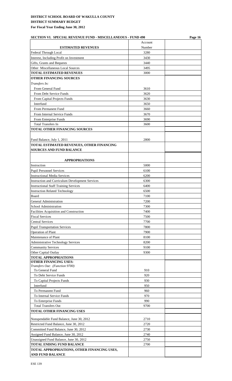| <b>SECTION VI. SPECIAL REVENUE FUND - MISCELLANEOUS - FUND 490</b> |         | Page 16 |  |  |
|--------------------------------------------------------------------|---------|---------|--|--|
|                                                                    | Account |         |  |  |
| <b>ESTIMATED REVENUES</b>                                          | Number  |         |  |  |
| Federal Through Local                                              | 3280    |         |  |  |
| Interest, Including Profit on Investment                           | 3430    |         |  |  |
| Gifts, Grants and Bequests                                         | 3440    |         |  |  |
| Other Miscellaneous Local Sources                                  | 3495    |         |  |  |
| <b>TOTAL ESTIMATED REVENUES</b>                                    | 3000    |         |  |  |
| <b>OTHER FINANCING SOURCES</b>                                     |         |         |  |  |
| Transfers In:                                                      |         |         |  |  |
| From General Fund                                                  | 3610    |         |  |  |
| From Debt Service Funds                                            | 3620    |         |  |  |
| From Capital Projects Funds                                        | 3630    |         |  |  |
| Interfund                                                          | 3650    |         |  |  |
| From Permanent Fund                                                | 3660    |         |  |  |
| From Internal Service Funds                                        | 3670    |         |  |  |
| From Enterprise Funds                                              | 3690    |         |  |  |
| <b>Total Transfers In</b>                                          | 3600    |         |  |  |
| <b>TOTAL OTHER FINANCING SOURCES</b>                               |         |         |  |  |
|                                                                    |         |         |  |  |
| Fund Balance, July 1, 2011                                         | 2800    |         |  |  |
| TOTAL ESTIMATED REVENUES, OTHER FINANCING                          |         |         |  |  |
| <b>SOURCES AND FUND BALANCE</b>                                    |         |         |  |  |
|                                                                    |         |         |  |  |
|                                                                    |         |         |  |  |
| <b>APPROPRIATIONS</b>                                              |         |         |  |  |
| Instruction                                                        | 5000    |         |  |  |
| <b>Pupil Personnel Services</b>                                    | 6100    |         |  |  |
| <b>Instructional Media Services</b>                                | 6200    |         |  |  |
| <b>Instruction and Curriculum Development Services</b>             | 6300    |         |  |  |
| <b>Instructional Staff Training Services</b>                       | 6400    |         |  |  |
| <b>Instruction Related Technology</b>                              | 6500    |         |  |  |
| Board                                                              | 7100    |         |  |  |
| General Administration                                             | 7200    |         |  |  |
| School Administration                                              | 7300    |         |  |  |
| Facilities Acquisition and Construction                            | 7400    |         |  |  |
| <b>Fiscal Services</b>                                             | 7500    |         |  |  |
| <b>Central Services</b>                                            | 7700    |         |  |  |
| <b>Pupil Transportation Services</b>                               | 7800    |         |  |  |
| Operation of Plant                                                 | 7900    |         |  |  |
| Maintenance of Plant                                               | 8100    |         |  |  |
| <b>Administrative Technology Services</b>                          | 8200    |         |  |  |
| <b>Community Services</b>                                          | 9100    |         |  |  |
| Other Capital Outlay                                               | 9300    |         |  |  |
| <b>TOTAL APPROPRIATIONS</b>                                        |         |         |  |  |
| <b>OTHER FINANCING USES:</b>                                       |         |         |  |  |
| Transfers Out: (Function 9700)<br>To General Fund                  | 910     |         |  |  |
| To Debt Service Funds                                              | 920     |         |  |  |
|                                                                    | 930     |         |  |  |
| To Capital Projects Funds                                          |         |         |  |  |
| Interfund                                                          | 950     |         |  |  |
| To Permanent Fund                                                  | 960     |         |  |  |
| To Internal Service Funds                                          | 970     |         |  |  |
| To Enterprise Funds                                                | 990     |         |  |  |
| <b>Total Transfers Out</b>                                         | 9700    |         |  |  |
| TOTAL OTHER FINANCING USES                                         |         |         |  |  |
| Nonspendable Fund Balance, June 30, 2012                           | 2710    |         |  |  |
| Restricted Fund Balance, June 30, 2012                             | 2720    |         |  |  |
| Committed Fund Balance, June 30, 2012                              | 2730    |         |  |  |
| Assigned Fund Balance, June 30, 2012                               | 2740    |         |  |  |
| Unassigned Fund Balance, June 30, 2012                             | 2750    |         |  |  |
| <b>TOTAL ENDING FUND BALANCE</b>                                   | 2700    |         |  |  |
| TOTAL APPROPRIATIONS, OTHER FINANCING USES,                        |         |         |  |  |
| <b>AND FUND BALANCE</b>                                            |         |         |  |  |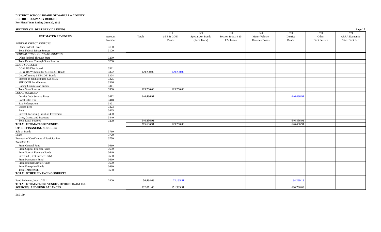| <b>SECTION VII. DEBT SERVICE FUNDS</b>     |         |            |                       |                   |                    |                      |              |              | Page 17         |
|--------------------------------------------|---------|------------|-----------------------|-------------------|--------------------|----------------------|--------------|--------------|-----------------|
|                                            |         |            | 210                   | 220               | 230                | 240                  | 250          | 290          | 299             |
| <b>ESTIMATED REVENUES</b>                  | Account | Totals     | <b>SBE &amp; COBI</b> | Special Act Bonds | Section 1011.14-15 | Motor Vehicle        | District     | Other        | ARRA Economic   |
|                                            | Number  |            | <b>Bonds</b>          | (Race Track)      | F.S. Loans         | <b>Revenue Bonds</b> | <b>Bonds</b> | Debt Service | Stim. Debt Svc. |
| <b>FEDERAL DIRECT SOURCES:</b>             |         |            |                       |                   |                    |                      |              |              |                 |
| Other Federal Direct                       | 3190    |            |                       |                   |                    |                      |              |              |                 |
| <b>Total Federal Direct Sources</b>        | 3100    |            |                       |                   |                    |                      |              |              |                 |
| FEDERAL THROUGH STATE SOURCES:             |         |            |                       |                   |                    |                      |              |              |                 |
| Other Federal Through State                | 3290    |            |                       |                   |                    |                      |              |              |                 |
| <b>Total Federal Through State Sources</b> | 3200    |            |                       |                   |                    |                      |              |              |                 |
| <b>STATE SOURCES:</b>                      |         |            |                       |                   |                    |                      |              |              |                 |
| CO & DS Distributed                        | 3321    |            |                       |                   |                    |                      |              |              |                 |
| CO & DS Withheld for SBE/COBI Bonds        | 3322    | 129,200.00 | 129,200.00            |                   |                    |                      |              |              |                 |
| Cost of Issuing SBE/COBI Bonds             | 3324    |            |                       |                   |                    |                      |              |              |                 |
| Interest on Undistributed CO & DS          | 3325    |            |                       |                   |                    |                      |              |              |                 |
| SBE/COBI Bond Interest                     | 3326    |            |                       |                   |                    |                      |              |              |                 |
| Racing Commission Funds                    | 3341    |            |                       |                   |                    |                      |              |              |                 |
| <b>Total State Sources</b>                 | 3300    | 129,200.00 | 129,200.00            |                   |                    |                      |              |              |                 |
| <b>LOCAL SOURCES:</b>                      |         |            |                       |                   |                    |                      |              |              |                 |
| <b>District Debt Service Taxes</b>         | 3412    | 646,436.91 |                       |                   |                    |                      | 646,436.91   |              |                 |
| Local Sales Tax                            | 3418    |            |                       |                   |                    |                      |              |              |                 |
| Tax Redemptions                            | 3421    |            |                       |                   |                    |                      |              |              |                 |
| <b>Excess Fees</b>                         | 3423    |            |                       |                   |                    |                      |              |              |                 |
| Rent                                       | 3425    |            |                       |                   |                    |                      |              |              |                 |
| Interest, Including Profit on Investment   | 3430    |            |                       |                   |                    |                      |              |              |                 |
| Gifts, Grants, and Bequests                | 3440    |            |                       |                   |                    |                      |              |              |                 |
| <b>Total Local Sources</b>                 | 3400    | 646,436.91 |                       |                   |                    |                      | 646,436.91   |              |                 |
| <b>TOTAL ESTIMATED REVENUES</b>            |         | 775,636.91 | 129,200.00            |                   |                    |                      | 646,436.91   |              |                 |
| <b>OTHER FINANCING SOURCES:</b>            |         |            |                       |                   |                    |                      |              |              |                 |
| Sale of Bonds                              | 3710    |            |                       |                   |                    |                      |              |              |                 |
| Loans                                      | 3720    |            |                       |                   |                    |                      |              |              |                 |
| Proceeds of Certificates of Participation  | 3750    |            |                       |                   |                    |                      |              |              |                 |
| Transfers In:                              |         |            |                       |                   |                    |                      |              |              |                 |
| From General Fund                          | 3610    |            |                       |                   |                    |                      |              |              |                 |
| From Capital Projects Funds                | 3630    |            |                       |                   |                    |                      |              |              |                 |
| From Special Revenue Funds                 | 3640    |            |                       |                   |                    |                      |              |              |                 |
| Interfund (Debt Service Only)              | 3650    |            |                       |                   |                    |                      |              |              |                 |
| From Permanent Fund                        | 3660    |            |                       |                   |                    |                      |              |              |                 |
| From Internal Service Funds                | 3670    |            |                       |                   |                    |                      |              |              |                 |
| From Enterprise Funds                      | 3690    |            |                       |                   |                    |                      |              |              |                 |
| <b>Total Transfers In</b>                  | 3600    |            |                       |                   |                    |                      |              |              |                 |
| <b>TOTAL OTHER FINANCING SOURCES</b>       |         |            |                       |                   |                    |                      |              |              |                 |
|                                            |         |            |                       |                   |                    |                      |              |              |                 |
| Fund Balances, July 1, 2011                | 2800    | 56,434.69  | 22,135.51             |                   |                    |                      | 34,299.18    |              |                 |
| TOTAL ESTIMATED REVENUES, OTHER FINANCING  |         |            |                       |                   |                    |                      |              |              |                 |
| <b>SOURCES, AND FUND BALANCES</b>          |         | 832,071.60 | 151,335.51            |                   |                    |                      | 680,736.09   |              |                 |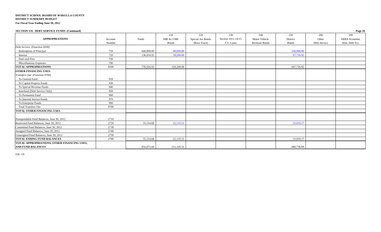| SECTION VII. DEBT SERVICE FUNDS (Continued) |         |            |                       |                   |                    |               |              |              | Page 18              |
|---------------------------------------------|---------|------------|-----------------------|-------------------|--------------------|---------------|--------------|--------------|----------------------|
|                                             |         |            | 210                   | 220               | 230                | 240           | 250          | 290          | 299                  |
| <b>APPROPRIATIONS</b>                       | Account | Totals     | <b>SBE &amp; COBI</b> | Special Act Bonds | Section 1011.14-15 | Motor Vehicle | District     | Other        | <b>ARRA</b> Economic |
|                                             | Number  |            | Bonds                 | (Race Track)      | F.S. Loans         | Revenue Bonds | <b>Bonds</b> | Debt Service | Stim. Debt Svc.      |
| Debt Service: (Function 9200)               |         |            |                       |                   |                    |               |              |              |                      |
| Redemption of Principal                     | 710     | 640,000.00 | 90,000.00             |                   |                    |               | 550,000.00   |              |                      |
| Interest                                    | 720     | 136,916.92 | 39,200.00             |                   |                    |               | 97,716.92    |              |                      |
| Dues and Fees                               | 730     |            |                       |                   |                    |               |              |              |                      |
| Miscellaneous Expenses                      | 790     |            |                       |                   |                    |               |              |              |                      |
| <b>TOTAL APPROPRIATIONS</b>                 | 9200    | 776,916.92 | 129,200.00            |                   |                    |               | 647,716.92   |              |                      |
| <b>OTHER FINANCING USES:</b>                |         |            |                       |                   |                    |               |              |              |                      |
| Transfers Out: (Function 9700)              |         |            |                       |                   |                    |               |              |              |                      |
| To General Fund                             | 910     |            |                       |                   |                    |               |              |              |                      |
| To Capital Projects Funds                   | 930     |            |                       |                   |                    |               |              |              |                      |
| To Special Revenue Funds                    | 940     |            |                       |                   |                    |               |              |              |                      |
| Interfund (Debt Service Only)               | 950     |            |                       |                   |                    |               |              |              |                      |
| To Permanent Fund                           | 960     |            |                       |                   |                    |               |              |              |                      |
| To Internal Service Funds                   | 970     |            |                       |                   |                    |               |              |              |                      |
| To Enterprise Funds                         | 990     |            |                       |                   |                    |               |              |              |                      |
| <b>Total Transfers Out</b>                  | 9700    |            |                       |                   |                    |               |              |              |                      |
| <b>TOTAL OTHER FINANCING USES</b>           |         |            |                       |                   |                    |               |              |              |                      |
|                                             |         |            |                       |                   |                    |               |              |              |                      |
| Nonspendable Fund Balances, June 30, 2012   | 2710    |            |                       |                   |                    |               |              |              |                      |
| Restricted Fund Balances, June 30, 2012     | 2720    | 55,154.68  | 22,135.51             |                   |                    |               | 33,019.17    |              |                      |
| Committed Fund Balances, June 30, 2012      | 2730    |            |                       |                   |                    |               |              |              |                      |
| Assigned Fund Balances, June 30, 2012       | 2740    |            |                       |                   |                    |               |              |              |                      |
| Unassigned Fund Balances, June 30, 2012     | 2750    |            |                       |                   |                    |               |              |              |                      |
| <b>TOTAL ENDING FUND BALANCES</b>           | 2700    | 55,154.68  | 22,135.51             |                   |                    |               | 33,019.17    |              |                      |
| TOTAL APPROPRIATIONS, OTHER FINANCING USES, |         |            |                       |                   |                    |               |              |              |                      |
| <b>AND FUND BALANCES</b>                    |         | 832,071.60 | 151,335.51            |                   |                    |               | 680,736.09   |              |                      |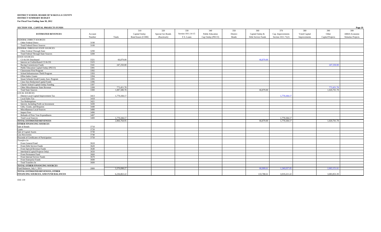| <b>SECTION VIII. CAPITAL PROJECTS FUNDS</b> |  |  |
|---------------------------------------------|--|--|

| 320<br>330<br>370<br>399<br>310<br>340<br>350<br>360<br>380<br>390<br>Section 1011.14-15<br><b>ESTIMATED REVENUES</b><br>Capital Outlay<br>Special Act Bonds<br><b>Public Education</b><br>Capital Outlay &<br>Voted Capital<br>Other<br><b>ARRA Economic</b><br>District<br>Cap. Improvements<br>Account<br><b>Bond Issues (COBI)</b><br>(Racetrack)<br>F.S. Loans<br>Cap Outlay (PECO)<br><b>Bonds</b><br>Debt Service Funds<br>Section 1011.71(2)<br>Capital Projects<br><b>Stimulus Projects</b><br>Number<br>Totals<br>Improvements<br><b>FEDERAL DIRECT SOURCES:</b><br>3190<br>Other Federal Direct<br><b>Total Federal Direct Sources</b><br>3100<br>FEDERAL THROUGH STATE SOURCES:<br>3290<br>Other Federal Through State<br>Total Federal Through State Sources<br>3200<br><b>STATE SOURCES:</b><br>CO & DS Distributed<br>3321<br>66,879.00<br>66,879.00<br>Interest on Undistributed CO & DS<br>3325<br>3341<br>247,250.00<br>Racing Commission Funds<br>247,250.00<br>Public Education Capital Outlay (PECO)<br>3391<br>3392<br><b>Classrooms First Program</b><br>3393<br>School Infrastructure Thrift Program<br>3394<br><b>Effort Index Grants</b><br>3395<br>Smart Schools Small County Asst. Program<br>3396<br>Class Size Reduction/Capital Funds<br>3397<br>Charter School Capital Outlay Funding<br>3399<br>Other Miscellaneous State Revenue<br>773,451.78<br>773,451.78<br>3300<br>1.087,580.78<br>1,020,701.78<br><b>Total State Sources</b><br>66,879.00<br><b>LOCAL SOURCES:</b><br>3413<br>1,779,184.17<br>1,779,184.17<br>District Local Capital Improvement Tax<br><b>Local Sales Tax</b><br>3418<br><b>Tax Redemptions</b><br>3421<br>3430<br>Interest, Including Profit on Investment<br>Gifts, Grants, and Bequests<br>3440<br>Miscellaneous Local Sources<br>3490<br>3496<br><b>Impact Fees</b><br>3497<br>Refunds of Prior Year Expenditures<br>3400<br>1,779,184.17<br>1,779,184.17<br><b>Total Local Sources</b><br>TOTAL ESTIMATED REVENUES<br>2,866,764.95<br>66,879.00<br>1,779,184.17<br>1,020,701.78<br>3710<br>Sale of Bonds<br>Loans<br>3720<br>Sale of Capital Assets<br>3730<br>3740<br>3750<br>3610<br>From General Fund<br>From Debt Service Funds<br>3620<br>3640<br>From Special Revenue Funds<br>3650<br>Interfund (Capital Projects Only)<br>From Permanent Fund<br>3660<br>From Internal Service Funds<br>3670<br>From Enterprise Funds<br>3690<br>3600<br>Total Transfers In<br>2800<br>3.370.098.27<br>1.240.037.0<br>2.063.151.6<br>66,909.61<br>3.083.853.39<br>FINANCING SOURCES, AND FUND BALANCES<br>6,236,863.22<br>133,788.61<br>3,019,221.22 | SECTION VIII. CAPITAL PROJECTS FUNDS      |  |  |  |  |  | Page 19 |
|------------------------------------------------------------------------------------------------------------------------------------------------------------------------------------------------------------------------------------------------------------------------------------------------------------------------------------------------------------------------------------------------------------------------------------------------------------------------------------------------------------------------------------------------------------------------------------------------------------------------------------------------------------------------------------------------------------------------------------------------------------------------------------------------------------------------------------------------------------------------------------------------------------------------------------------------------------------------------------------------------------------------------------------------------------------------------------------------------------------------------------------------------------------------------------------------------------------------------------------------------------------------------------------------------------------------------------------------------------------------------------------------------------------------------------------------------------------------------------------------------------------------------------------------------------------------------------------------------------------------------------------------------------------------------------------------------------------------------------------------------------------------------------------------------------------------------------------------------------------------------------------------------------------------------------------------------------------------------------------------------------------------------------------------------------------------------------------------------------------------------------------------------------------------------------------------------------------------------------------------------------------------------------------------------------------------------------------------------------------------------------------------------------------------------------------------------------------------------------------------------------------------------------------------------------------------------------------------------------|-------------------------------------------|--|--|--|--|--|---------|
|                                                                                                                                                                                                                                                                                                                                                                                                                                                                                                                                                                                                                                                                                                                                                                                                                                                                                                                                                                                                                                                                                                                                                                                                                                                                                                                                                                                                                                                                                                                                                                                                                                                                                                                                                                                                                                                                                                                                                                                                                                                                                                                                                                                                                                                                                                                                                                                                                                                                                                                                                                                                            |                                           |  |  |  |  |  |         |
|                                                                                                                                                                                                                                                                                                                                                                                                                                                                                                                                                                                                                                                                                                                                                                                                                                                                                                                                                                                                                                                                                                                                                                                                                                                                                                                                                                                                                                                                                                                                                                                                                                                                                                                                                                                                                                                                                                                                                                                                                                                                                                                                                                                                                                                                                                                                                                                                                                                                                                                                                                                                            |                                           |  |  |  |  |  |         |
|                                                                                                                                                                                                                                                                                                                                                                                                                                                                                                                                                                                                                                                                                                                                                                                                                                                                                                                                                                                                                                                                                                                                                                                                                                                                                                                                                                                                                                                                                                                                                                                                                                                                                                                                                                                                                                                                                                                                                                                                                                                                                                                                                                                                                                                                                                                                                                                                                                                                                                                                                                                                            |                                           |  |  |  |  |  |         |
|                                                                                                                                                                                                                                                                                                                                                                                                                                                                                                                                                                                                                                                                                                                                                                                                                                                                                                                                                                                                                                                                                                                                                                                                                                                                                                                                                                                                                                                                                                                                                                                                                                                                                                                                                                                                                                                                                                                                                                                                                                                                                                                                                                                                                                                                                                                                                                                                                                                                                                                                                                                                            |                                           |  |  |  |  |  |         |
|                                                                                                                                                                                                                                                                                                                                                                                                                                                                                                                                                                                                                                                                                                                                                                                                                                                                                                                                                                                                                                                                                                                                                                                                                                                                                                                                                                                                                                                                                                                                                                                                                                                                                                                                                                                                                                                                                                                                                                                                                                                                                                                                                                                                                                                                                                                                                                                                                                                                                                                                                                                                            |                                           |  |  |  |  |  |         |
|                                                                                                                                                                                                                                                                                                                                                                                                                                                                                                                                                                                                                                                                                                                                                                                                                                                                                                                                                                                                                                                                                                                                                                                                                                                                                                                                                                                                                                                                                                                                                                                                                                                                                                                                                                                                                                                                                                                                                                                                                                                                                                                                                                                                                                                                                                                                                                                                                                                                                                                                                                                                            |                                           |  |  |  |  |  |         |
|                                                                                                                                                                                                                                                                                                                                                                                                                                                                                                                                                                                                                                                                                                                                                                                                                                                                                                                                                                                                                                                                                                                                                                                                                                                                                                                                                                                                                                                                                                                                                                                                                                                                                                                                                                                                                                                                                                                                                                                                                                                                                                                                                                                                                                                                                                                                                                                                                                                                                                                                                                                                            |                                           |  |  |  |  |  |         |
|                                                                                                                                                                                                                                                                                                                                                                                                                                                                                                                                                                                                                                                                                                                                                                                                                                                                                                                                                                                                                                                                                                                                                                                                                                                                                                                                                                                                                                                                                                                                                                                                                                                                                                                                                                                                                                                                                                                                                                                                                                                                                                                                                                                                                                                                                                                                                                                                                                                                                                                                                                                                            |                                           |  |  |  |  |  |         |
|                                                                                                                                                                                                                                                                                                                                                                                                                                                                                                                                                                                                                                                                                                                                                                                                                                                                                                                                                                                                                                                                                                                                                                                                                                                                                                                                                                                                                                                                                                                                                                                                                                                                                                                                                                                                                                                                                                                                                                                                                                                                                                                                                                                                                                                                                                                                                                                                                                                                                                                                                                                                            |                                           |  |  |  |  |  |         |
|                                                                                                                                                                                                                                                                                                                                                                                                                                                                                                                                                                                                                                                                                                                                                                                                                                                                                                                                                                                                                                                                                                                                                                                                                                                                                                                                                                                                                                                                                                                                                                                                                                                                                                                                                                                                                                                                                                                                                                                                                                                                                                                                                                                                                                                                                                                                                                                                                                                                                                                                                                                                            |                                           |  |  |  |  |  |         |
|                                                                                                                                                                                                                                                                                                                                                                                                                                                                                                                                                                                                                                                                                                                                                                                                                                                                                                                                                                                                                                                                                                                                                                                                                                                                                                                                                                                                                                                                                                                                                                                                                                                                                                                                                                                                                                                                                                                                                                                                                                                                                                                                                                                                                                                                                                                                                                                                                                                                                                                                                                                                            |                                           |  |  |  |  |  |         |
|                                                                                                                                                                                                                                                                                                                                                                                                                                                                                                                                                                                                                                                                                                                                                                                                                                                                                                                                                                                                                                                                                                                                                                                                                                                                                                                                                                                                                                                                                                                                                                                                                                                                                                                                                                                                                                                                                                                                                                                                                                                                                                                                                                                                                                                                                                                                                                                                                                                                                                                                                                                                            |                                           |  |  |  |  |  |         |
|                                                                                                                                                                                                                                                                                                                                                                                                                                                                                                                                                                                                                                                                                                                                                                                                                                                                                                                                                                                                                                                                                                                                                                                                                                                                                                                                                                                                                                                                                                                                                                                                                                                                                                                                                                                                                                                                                                                                                                                                                                                                                                                                                                                                                                                                                                                                                                                                                                                                                                                                                                                                            |                                           |  |  |  |  |  |         |
|                                                                                                                                                                                                                                                                                                                                                                                                                                                                                                                                                                                                                                                                                                                                                                                                                                                                                                                                                                                                                                                                                                                                                                                                                                                                                                                                                                                                                                                                                                                                                                                                                                                                                                                                                                                                                                                                                                                                                                                                                                                                                                                                                                                                                                                                                                                                                                                                                                                                                                                                                                                                            |                                           |  |  |  |  |  |         |
|                                                                                                                                                                                                                                                                                                                                                                                                                                                                                                                                                                                                                                                                                                                                                                                                                                                                                                                                                                                                                                                                                                                                                                                                                                                                                                                                                                                                                                                                                                                                                                                                                                                                                                                                                                                                                                                                                                                                                                                                                                                                                                                                                                                                                                                                                                                                                                                                                                                                                                                                                                                                            |                                           |  |  |  |  |  |         |
|                                                                                                                                                                                                                                                                                                                                                                                                                                                                                                                                                                                                                                                                                                                                                                                                                                                                                                                                                                                                                                                                                                                                                                                                                                                                                                                                                                                                                                                                                                                                                                                                                                                                                                                                                                                                                                                                                                                                                                                                                                                                                                                                                                                                                                                                                                                                                                                                                                                                                                                                                                                                            |                                           |  |  |  |  |  |         |
|                                                                                                                                                                                                                                                                                                                                                                                                                                                                                                                                                                                                                                                                                                                                                                                                                                                                                                                                                                                                                                                                                                                                                                                                                                                                                                                                                                                                                                                                                                                                                                                                                                                                                                                                                                                                                                                                                                                                                                                                                                                                                                                                                                                                                                                                                                                                                                                                                                                                                                                                                                                                            |                                           |  |  |  |  |  |         |
|                                                                                                                                                                                                                                                                                                                                                                                                                                                                                                                                                                                                                                                                                                                                                                                                                                                                                                                                                                                                                                                                                                                                                                                                                                                                                                                                                                                                                                                                                                                                                                                                                                                                                                                                                                                                                                                                                                                                                                                                                                                                                                                                                                                                                                                                                                                                                                                                                                                                                                                                                                                                            |                                           |  |  |  |  |  |         |
|                                                                                                                                                                                                                                                                                                                                                                                                                                                                                                                                                                                                                                                                                                                                                                                                                                                                                                                                                                                                                                                                                                                                                                                                                                                                                                                                                                                                                                                                                                                                                                                                                                                                                                                                                                                                                                                                                                                                                                                                                                                                                                                                                                                                                                                                                                                                                                                                                                                                                                                                                                                                            |                                           |  |  |  |  |  |         |
|                                                                                                                                                                                                                                                                                                                                                                                                                                                                                                                                                                                                                                                                                                                                                                                                                                                                                                                                                                                                                                                                                                                                                                                                                                                                                                                                                                                                                                                                                                                                                                                                                                                                                                                                                                                                                                                                                                                                                                                                                                                                                                                                                                                                                                                                                                                                                                                                                                                                                                                                                                                                            |                                           |  |  |  |  |  |         |
|                                                                                                                                                                                                                                                                                                                                                                                                                                                                                                                                                                                                                                                                                                                                                                                                                                                                                                                                                                                                                                                                                                                                                                                                                                                                                                                                                                                                                                                                                                                                                                                                                                                                                                                                                                                                                                                                                                                                                                                                                                                                                                                                                                                                                                                                                                                                                                                                                                                                                                                                                                                                            |                                           |  |  |  |  |  |         |
|                                                                                                                                                                                                                                                                                                                                                                                                                                                                                                                                                                                                                                                                                                                                                                                                                                                                                                                                                                                                                                                                                                                                                                                                                                                                                                                                                                                                                                                                                                                                                                                                                                                                                                                                                                                                                                                                                                                                                                                                                                                                                                                                                                                                                                                                                                                                                                                                                                                                                                                                                                                                            |                                           |  |  |  |  |  |         |
|                                                                                                                                                                                                                                                                                                                                                                                                                                                                                                                                                                                                                                                                                                                                                                                                                                                                                                                                                                                                                                                                                                                                                                                                                                                                                                                                                                                                                                                                                                                                                                                                                                                                                                                                                                                                                                                                                                                                                                                                                                                                                                                                                                                                                                                                                                                                                                                                                                                                                                                                                                                                            |                                           |  |  |  |  |  |         |
|                                                                                                                                                                                                                                                                                                                                                                                                                                                                                                                                                                                                                                                                                                                                                                                                                                                                                                                                                                                                                                                                                                                                                                                                                                                                                                                                                                                                                                                                                                                                                                                                                                                                                                                                                                                                                                                                                                                                                                                                                                                                                                                                                                                                                                                                                                                                                                                                                                                                                                                                                                                                            |                                           |  |  |  |  |  |         |
|                                                                                                                                                                                                                                                                                                                                                                                                                                                                                                                                                                                                                                                                                                                                                                                                                                                                                                                                                                                                                                                                                                                                                                                                                                                                                                                                                                                                                                                                                                                                                                                                                                                                                                                                                                                                                                                                                                                                                                                                                                                                                                                                                                                                                                                                                                                                                                                                                                                                                                                                                                                                            |                                           |  |  |  |  |  |         |
|                                                                                                                                                                                                                                                                                                                                                                                                                                                                                                                                                                                                                                                                                                                                                                                                                                                                                                                                                                                                                                                                                                                                                                                                                                                                                                                                                                                                                                                                                                                                                                                                                                                                                                                                                                                                                                                                                                                                                                                                                                                                                                                                                                                                                                                                                                                                                                                                                                                                                                                                                                                                            |                                           |  |  |  |  |  |         |
|                                                                                                                                                                                                                                                                                                                                                                                                                                                                                                                                                                                                                                                                                                                                                                                                                                                                                                                                                                                                                                                                                                                                                                                                                                                                                                                                                                                                                                                                                                                                                                                                                                                                                                                                                                                                                                                                                                                                                                                                                                                                                                                                                                                                                                                                                                                                                                                                                                                                                                                                                                                                            |                                           |  |  |  |  |  |         |
|                                                                                                                                                                                                                                                                                                                                                                                                                                                                                                                                                                                                                                                                                                                                                                                                                                                                                                                                                                                                                                                                                                                                                                                                                                                                                                                                                                                                                                                                                                                                                                                                                                                                                                                                                                                                                                                                                                                                                                                                                                                                                                                                                                                                                                                                                                                                                                                                                                                                                                                                                                                                            |                                           |  |  |  |  |  |         |
|                                                                                                                                                                                                                                                                                                                                                                                                                                                                                                                                                                                                                                                                                                                                                                                                                                                                                                                                                                                                                                                                                                                                                                                                                                                                                                                                                                                                                                                                                                                                                                                                                                                                                                                                                                                                                                                                                                                                                                                                                                                                                                                                                                                                                                                                                                                                                                                                                                                                                                                                                                                                            |                                           |  |  |  |  |  |         |
|                                                                                                                                                                                                                                                                                                                                                                                                                                                                                                                                                                                                                                                                                                                                                                                                                                                                                                                                                                                                                                                                                                                                                                                                                                                                                                                                                                                                                                                                                                                                                                                                                                                                                                                                                                                                                                                                                                                                                                                                                                                                                                                                                                                                                                                                                                                                                                                                                                                                                                                                                                                                            |                                           |  |  |  |  |  |         |
|                                                                                                                                                                                                                                                                                                                                                                                                                                                                                                                                                                                                                                                                                                                                                                                                                                                                                                                                                                                                                                                                                                                                                                                                                                                                                                                                                                                                                                                                                                                                                                                                                                                                                                                                                                                                                                                                                                                                                                                                                                                                                                                                                                                                                                                                                                                                                                                                                                                                                                                                                                                                            |                                           |  |  |  |  |  |         |
|                                                                                                                                                                                                                                                                                                                                                                                                                                                                                                                                                                                                                                                                                                                                                                                                                                                                                                                                                                                                                                                                                                                                                                                                                                                                                                                                                                                                                                                                                                                                                                                                                                                                                                                                                                                                                                                                                                                                                                                                                                                                                                                                                                                                                                                                                                                                                                                                                                                                                                                                                                                                            |                                           |  |  |  |  |  |         |
|                                                                                                                                                                                                                                                                                                                                                                                                                                                                                                                                                                                                                                                                                                                                                                                                                                                                                                                                                                                                                                                                                                                                                                                                                                                                                                                                                                                                                                                                                                                                                                                                                                                                                                                                                                                                                                                                                                                                                                                                                                                                                                                                                                                                                                                                                                                                                                                                                                                                                                                                                                                                            |                                           |  |  |  |  |  |         |
|                                                                                                                                                                                                                                                                                                                                                                                                                                                                                                                                                                                                                                                                                                                                                                                                                                                                                                                                                                                                                                                                                                                                                                                                                                                                                                                                                                                                                                                                                                                                                                                                                                                                                                                                                                                                                                                                                                                                                                                                                                                                                                                                                                                                                                                                                                                                                                                                                                                                                                                                                                                                            |                                           |  |  |  |  |  |         |
|                                                                                                                                                                                                                                                                                                                                                                                                                                                                                                                                                                                                                                                                                                                                                                                                                                                                                                                                                                                                                                                                                                                                                                                                                                                                                                                                                                                                                                                                                                                                                                                                                                                                                                                                                                                                                                                                                                                                                                                                                                                                                                                                                                                                                                                                                                                                                                                                                                                                                                                                                                                                            | OTHER FINANCING SOURCES                   |  |  |  |  |  |         |
|                                                                                                                                                                                                                                                                                                                                                                                                                                                                                                                                                                                                                                                                                                                                                                                                                                                                                                                                                                                                                                                                                                                                                                                                                                                                                                                                                                                                                                                                                                                                                                                                                                                                                                                                                                                                                                                                                                                                                                                                                                                                                                                                                                                                                                                                                                                                                                                                                                                                                                                                                                                                            |                                           |  |  |  |  |  |         |
|                                                                                                                                                                                                                                                                                                                                                                                                                                                                                                                                                                                                                                                                                                                                                                                                                                                                                                                                                                                                                                                                                                                                                                                                                                                                                                                                                                                                                                                                                                                                                                                                                                                                                                                                                                                                                                                                                                                                                                                                                                                                                                                                                                                                                                                                                                                                                                                                                                                                                                                                                                                                            |                                           |  |  |  |  |  |         |
|                                                                                                                                                                                                                                                                                                                                                                                                                                                                                                                                                                                                                                                                                                                                                                                                                                                                                                                                                                                                                                                                                                                                                                                                                                                                                                                                                                                                                                                                                                                                                                                                                                                                                                                                                                                                                                                                                                                                                                                                                                                                                                                                                                                                                                                                                                                                                                                                                                                                                                                                                                                                            |                                           |  |  |  |  |  |         |
|                                                                                                                                                                                                                                                                                                                                                                                                                                                                                                                                                                                                                                                                                                                                                                                                                                                                                                                                                                                                                                                                                                                                                                                                                                                                                                                                                                                                                                                                                                                                                                                                                                                                                                                                                                                                                                                                                                                                                                                                                                                                                                                                                                                                                                                                                                                                                                                                                                                                                                                                                                                                            | <b>Loss Recoveries</b>                    |  |  |  |  |  |         |
|                                                                                                                                                                                                                                                                                                                                                                                                                                                                                                                                                                                                                                                                                                                                                                                                                                                                                                                                                                                                                                                                                                                                                                                                                                                                                                                                                                                                                                                                                                                                                                                                                                                                                                                                                                                                                                                                                                                                                                                                                                                                                                                                                                                                                                                                                                                                                                                                                                                                                                                                                                                                            | Proceeds of Certificates of Participation |  |  |  |  |  |         |
|                                                                                                                                                                                                                                                                                                                                                                                                                                                                                                                                                                                                                                                                                                                                                                                                                                                                                                                                                                                                                                                                                                                                                                                                                                                                                                                                                                                                                                                                                                                                                                                                                                                                                                                                                                                                                                                                                                                                                                                                                                                                                                                                                                                                                                                                                                                                                                                                                                                                                                                                                                                                            | Transfers In:                             |  |  |  |  |  |         |
|                                                                                                                                                                                                                                                                                                                                                                                                                                                                                                                                                                                                                                                                                                                                                                                                                                                                                                                                                                                                                                                                                                                                                                                                                                                                                                                                                                                                                                                                                                                                                                                                                                                                                                                                                                                                                                                                                                                                                                                                                                                                                                                                                                                                                                                                                                                                                                                                                                                                                                                                                                                                            |                                           |  |  |  |  |  |         |
|                                                                                                                                                                                                                                                                                                                                                                                                                                                                                                                                                                                                                                                                                                                                                                                                                                                                                                                                                                                                                                                                                                                                                                                                                                                                                                                                                                                                                                                                                                                                                                                                                                                                                                                                                                                                                                                                                                                                                                                                                                                                                                                                                                                                                                                                                                                                                                                                                                                                                                                                                                                                            |                                           |  |  |  |  |  |         |
|                                                                                                                                                                                                                                                                                                                                                                                                                                                                                                                                                                                                                                                                                                                                                                                                                                                                                                                                                                                                                                                                                                                                                                                                                                                                                                                                                                                                                                                                                                                                                                                                                                                                                                                                                                                                                                                                                                                                                                                                                                                                                                                                                                                                                                                                                                                                                                                                                                                                                                                                                                                                            |                                           |  |  |  |  |  |         |
|                                                                                                                                                                                                                                                                                                                                                                                                                                                                                                                                                                                                                                                                                                                                                                                                                                                                                                                                                                                                                                                                                                                                                                                                                                                                                                                                                                                                                                                                                                                                                                                                                                                                                                                                                                                                                                                                                                                                                                                                                                                                                                                                                                                                                                                                                                                                                                                                                                                                                                                                                                                                            |                                           |  |  |  |  |  |         |
|                                                                                                                                                                                                                                                                                                                                                                                                                                                                                                                                                                                                                                                                                                                                                                                                                                                                                                                                                                                                                                                                                                                                                                                                                                                                                                                                                                                                                                                                                                                                                                                                                                                                                                                                                                                                                                                                                                                                                                                                                                                                                                                                                                                                                                                                                                                                                                                                                                                                                                                                                                                                            |                                           |  |  |  |  |  |         |
|                                                                                                                                                                                                                                                                                                                                                                                                                                                                                                                                                                                                                                                                                                                                                                                                                                                                                                                                                                                                                                                                                                                                                                                                                                                                                                                                                                                                                                                                                                                                                                                                                                                                                                                                                                                                                                                                                                                                                                                                                                                                                                                                                                                                                                                                                                                                                                                                                                                                                                                                                                                                            |                                           |  |  |  |  |  |         |
|                                                                                                                                                                                                                                                                                                                                                                                                                                                                                                                                                                                                                                                                                                                                                                                                                                                                                                                                                                                                                                                                                                                                                                                                                                                                                                                                                                                                                                                                                                                                                                                                                                                                                                                                                                                                                                                                                                                                                                                                                                                                                                                                                                                                                                                                                                                                                                                                                                                                                                                                                                                                            |                                           |  |  |  |  |  |         |
|                                                                                                                                                                                                                                                                                                                                                                                                                                                                                                                                                                                                                                                                                                                                                                                                                                                                                                                                                                                                                                                                                                                                                                                                                                                                                                                                                                                                                                                                                                                                                                                                                                                                                                                                                                                                                                                                                                                                                                                                                                                                                                                                                                                                                                                                                                                                                                                                                                                                                                                                                                                                            |                                           |  |  |  |  |  |         |
|                                                                                                                                                                                                                                                                                                                                                                                                                                                                                                                                                                                                                                                                                                                                                                                                                                                                                                                                                                                                                                                                                                                                                                                                                                                                                                                                                                                                                                                                                                                                                                                                                                                                                                                                                                                                                                                                                                                                                                                                                                                                                                                                                                                                                                                                                                                                                                                                                                                                                                                                                                                                            | TOTAL OTHER FINANCING SOURCES             |  |  |  |  |  |         |
|                                                                                                                                                                                                                                                                                                                                                                                                                                                                                                                                                                                                                                                                                                                                                                                                                                                                                                                                                                                                                                                                                                                                                                                                                                                                                                                                                                                                                                                                                                                                                                                                                                                                                                                                                                                                                                                                                                                                                                                                                                                                                                                                                                                                                                                                                                                                                                                                                                                                                                                                                                                                            | Fund Balances, July 1, 2011               |  |  |  |  |  |         |
|                                                                                                                                                                                                                                                                                                                                                                                                                                                                                                                                                                                                                                                                                                                                                                                                                                                                                                                                                                                                                                                                                                                                                                                                                                                                                                                                                                                                                                                                                                                                                                                                                                                                                                                                                                                                                                                                                                                                                                                                                                                                                                                                                                                                                                                                                                                                                                                                                                                                                                                                                                                                            | TOTAL ESTIMATED REVENUES, OTHER           |  |  |  |  |  |         |
|                                                                                                                                                                                                                                                                                                                                                                                                                                                                                                                                                                                                                                                                                                                                                                                                                                                                                                                                                                                                                                                                                                                                                                                                                                                                                                                                                                                                                                                                                                                                                                                                                                                                                                                                                                                                                                                                                                                                                                                                                                                                                                                                                                                                                                                                                                                                                                                                                                                                                                                                                                                                            |                                           |  |  |  |  |  |         |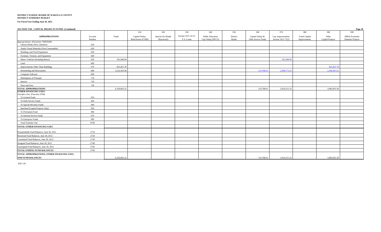#### **DISTRICT SCHOOL BOARD OF WAKULLA COUNTY DISTRICT SUMMARY BUDGET**

**For Fiscal Year Ending June 30, 2012**

| SECTION VIII. CAPITAL PROJECTS FUNDS (Continued) |                   |              |                                      |                                  |                                  |                                              |                          |                                        |                                         |                               |                           | Page 20                                   |
|--------------------------------------------------|-------------------|--------------|--------------------------------------|----------------------------------|----------------------------------|----------------------------------------------|--------------------------|----------------------------------------|-----------------------------------------|-------------------------------|---------------------------|-------------------------------------------|
|                                                  |                   |              | 310                                  | 320                              | 330                              | 340                                          | 350                      | 360                                    | 370                                     | 380                           | 390                       | 399                                       |
| <b>APPROPRIATIONS</b>                            | Account<br>Number | Totals       | Capital Outlay<br>Bond Issues (COBI) | Special Act Bonds<br>(Racetrack) | Section 1011.14-15<br>F.S. Loans | <b>Public Education</b><br>Cap Outlay (PECO) | District<br><b>Bonds</b> | Capital Outlay &<br>Debt Service Funds | Cap. Improvements<br>Section 1011.71(2) | Voted Capital<br>Improvements | Other<br>Capital Projects | <b>ARRA Economic</b><br>Stimulus Projects |
| Appropriations: (Functions 7400/9200)            |                   |              |                                      |                                  |                                  |                                              |                          |                                        |                                         |                               |                           |                                           |
| Library Books (New Libraries)                    | 610               |              |                                      |                                  |                                  |                                              |                          |                                        |                                         |                               |                           |                                           |
| Audio-Visual Materials (Non-Consumable)          | 620               |              |                                      |                                  |                                  |                                              |                          |                                        |                                         |                               |                           |                                           |
| Buildings and Fixed Equipment                    | 630               |              |                                      |                                  |                                  |                                              |                          |                                        |                                         |                               |                           |                                           |
| Furniture, Fixtures, and Equipment               | 640               |              |                                      |                                  |                                  |                                              |                          |                                        |                                         |                               |                           |                                           |
| Motor Vehicles (Including Buses)                 | 650               | 181,048.00   |                                      |                                  |                                  |                                              |                          |                                        | 181,048.00                              |                               |                           |                                           |
| Land                                             | 660               |              |                                      |                                  |                                  |                                              |                          |                                        |                                         |                               |                           |                                           |
| Improvements Other Than Buildings                | 670               | 823,451.78   |                                      |                                  |                                  |                                              |                          |                                        |                                         |                               | 823,451.78                |                                           |
| Remodeling and Renovations                       | 680               | 5,232,363.44 |                                      |                                  |                                  |                                              |                          | 133,788.61                             | 2,838,173.22                            |                               | 2,260,401.61              |                                           |
| Computer Software                                | 690               |              |                                      |                                  |                                  |                                              |                          |                                        |                                         |                               |                           |                                           |
| Redemption of Principal                          | 710               |              |                                      |                                  |                                  |                                              |                          |                                        |                                         |                               |                           |                                           |
| Interest                                         | 720               |              |                                      |                                  |                                  |                                              |                          |                                        |                                         |                               |                           |                                           |
| Dues and Fees                                    | 730               |              |                                      |                                  |                                  |                                              |                          |                                        |                                         |                               |                           |                                           |
| <b>TOTAL APPROPRIATIONS</b>                      |                   | 6,236,863.22 |                                      |                                  |                                  |                                              |                          | 133,788.61                             | 3,019,221.22                            |                               | 3,083,853.39              |                                           |
| <b>OTHER FINANCING USES:</b>                     |                   |              |                                      |                                  |                                  |                                              |                          |                                        |                                         |                               |                           |                                           |
| Transfers Out: (Function 9700)                   |                   |              |                                      |                                  |                                  |                                              |                          |                                        |                                         |                               |                           |                                           |
| To General Fund                                  | 910               |              |                                      |                                  |                                  |                                              |                          |                                        |                                         |                               |                           |                                           |
| To Debt Service Funds                            | 920               |              |                                      |                                  |                                  |                                              |                          |                                        |                                         |                               |                           |                                           |
| To Special Revenue Funds                         | 940               |              |                                      |                                  |                                  |                                              |                          |                                        |                                         |                               |                           |                                           |
| Interfund (Capital Projects Only)                | 950               |              |                                      |                                  |                                  |                                              |                          |                                        |                                         |                               |                           |                                           |
| To Permanent Fund                                | 960               |              |                                      |                                  |                                  |                                              |                          |                                        |                                         |                               |                           |                                           |
| To Internal Service Funds                        | 970               |              |                                      |                                  |                                  |                                              |                          |                                        |                                         |                               |                           |                                           |
| To Enterprise Funds                              | 990               |              |                                      |                                  |                                  |                                              |                          |                                        |                                         |                               |                           |                                           |
| <b>Total Transfers Out</b>                       | 9700              |              |                                      |                                  |                                  |                                              |                          |                                        |                                         |                               |                           |                                           |
| TOTAL OTHER FINANCING USES                       |                   |              |                                      |                                  |                                  |                                              |                          |                                        |                                         |                               |                           |                                           |
| Nonspendable Fund Balances, June 30, 2012        | 2710              |              |                                      |                                  |                                  |                                              |                          |                                        |                                         |                               |                           |                                           |
| Restricted Fund Balances, June 30, 2012          | 2720              |              |                                      |                                  |                                  |                                              |                          |                                        |                                         |                               |                           |                                           |
| Committed Fund Balances, June 30, 2012           | 2730              |              |                                      |                                  |                                  |                                              |                          |                                        |                                         |                               |                           |                                           |
| Assigned Fund Balances, June 30, 2012            | 2740              |              |                                      |                                  |                                  |                                              |                          |                                        |                                         |                               |                           |                                           |
| Unassigned Fund Balances, June 30, 2012          | 2750              |              |                                      |                                  |                                  |                                              |                          |                                        |                                         |                               |                           |                                           |
| TOTAL ENDING FUND BALANCES                       | 2700              |              |                                      |                                  |                                  |                                              |                          |                                        |                                         |                               |                           |                                           |
| TOTAL APPROPRIATIONS, OTHER FINANCING USES,      |                   |              |                                      |                                  |                                  |                                              |                          |                                        |                                         |                               |                           |                                           |
| AND FUND BALANCES                                |                   | 6.236.863.22 |                                      |                                  |                                  |                                              |                          | 133,788.61                             | 3,019,221.22                            |                               | 3.083.853.39              |                                           |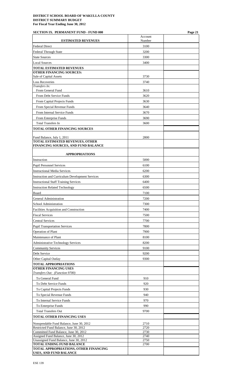# **SECTION IX. PERMANENT FUND - FUND 000 Page 21**

| <b>ESTIMATED REVENUES</b>                                                     | Account<br>Number |  |
|-------------------------------------------------------------------------------|-------------------|--|
| <b>Federal Direct</b>                                                         | 3100              |  |
| <b>Federal Through State</b>                                                  | 3200              |  |
| <b>State Sources</b>                                                          | 3300              |  |
| <b>Local Sources</b>                                                          | 3400              |  |
| <b>TOTAL ESTIMATED REVENUES</b>                                               |                   |  |
| <b>OTHER FINANCING SOURCES:</b>                                               |                   |  |
| Sale of Capital Assets                                                        | 3730              |  |
| <b>Loss Recoveries</b><br>Transfers In:                                       | 3740              |  |
| From General Fund                                                             | 3610              |  |
| From Debt Service Funds                                                       | 3620              |  |
| From Capital Projects Funds                                                   | 3630              |  |
| From Special Revenue Funds                                                    | 3640              |  |
| From Internal Service Funds                                                   | 3670              |  |
| From Enterprise Funds                                                         | 3690              |  |
| <b>Total Transfers In</b>                                                     | 3600              |  |
| <b>TOTAL OTHER FINANCING SOURCES</b>                                          |                   |  |
| Fund Balance, July 1, 2011                                                    | 2800              |  |
| <b>TOTAL ESTIMATED REVENUES, OTHER</b>                                        |                   |  |
| FINANCING SOURCES, AND FUND BALANCE                                           |                   |  |
| <b>APPROPRIATIONS</b>                                                         |                   |  |
| Instruction                                                                   | 5000              |  |
| <b>Pupil Personnel Services</b>                                               | 6100              |  |
| <b>Instructional Media Services</b>                                           | 6200              |  |
| <b>Instruction and Curriculum Development Services</b>                        | 6300              |  |
| <b>Instructional Staff Training Services</b>                                  | 6400              |  |
| <b>Instruction Related Technology</b>                                         | 6500              |  |
| Board                                                                         | 7100              |  |
| General Administration                                                        | 7200              |  |
| School Administration                                                         | 7300              |  |
| Facilities Acquisition and Construction                                       | 7400              |  |
| <b>Fiscal Services</b>                                                        | 7500              |  |
| <b>Central Services</b>                                                       | 7700              |  |
| <b>Pupil Transportation Services</b>                                          | 7800              |  |
| Operation of Plant                                                            | 7900              |  |
| Maintenance of Plant                                                          | 8100              |  |
| <b>Administrative Technology Services</b>                                     | 8200              |  |
| <b>Community Services</b>                                                     | 9100              |  |
| Debt Service                                                                  | 9200              |  |
| Other Capital Outlay                                                          | 9300              |  |
| <b>TOTAL APPROPRIATIONS</b><br><b>OTHER FINANCING USES</b>                    |                   |  |
| Transfers Out: (Function 9700)                                                |                   |  |
| To General Fund                                                               | 910               |  |
| To Debt Service Funds                                                         | 920               |  |
| To Capital Projects Funds                                                     | 930               |  |
| To Special Revenue Funds                                                      | 940               |  |
| To Internal Service Funds                                                     | 970               |  |
| To Enterprise Funds                                                           | 990               |  |
| <b>Total Transfers Out</b>                                                    | 9700              |  |
| TOTAL OTHER FINANCING USES                                                    |                   |  |
| Nonspendable Fund Balance, June 30, 2012                                      | 2710              |  |
| Restricted Fund Balance, June 30, 2012                                        | 2720              |  |
| Committed Fund Balance, June 30, 2012<br>Assigned Fund Balance, June 30, 2012 | 2730<br>2740      |  |
| Unassigned Fund Balance, June 30, 2012                                        | 2750              |  |
| <b>TOTAL ENDING FUND BALANCE</b><br>TOTAL APPROPRIATIONS, OTHER FINANCING     | 2700              |  |
| <b>USES, AND FUND BALANCE</b>                                                 |                   |  |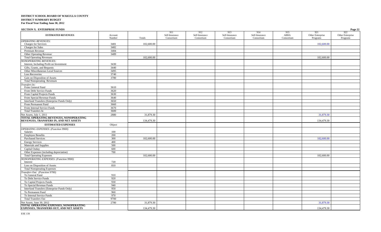| <b>SECTION X. ENTERPRISE FUNDS</b>                                               |                   |            |                                     |                                     |                                     |                                     |                           |                                     | Page 22                             |
|----------------------------------------------------------------------------------|-------------------|------------|-------------------------------------|-------------------------------------|-------------------------------------|-------------------------------------|---------------------------|-------------------------------------|-------------------------------------|
| <b>ESTIMATED REVENUES</b>                                                        | Account<br>Number | Totals     | 911<br>Self-Insurance<br>Consortium | 912<br>Self-Insurance<br>Consortium | 913<br>Self-Insurance<br>Consortium | 914<br>Self-Insurance<br>Consortium | 915<br>ARRA<br>Consortium | 921<br>Other Enterprise<br>Programs | 922<br>Other Enterprise<br>Programs |
| <b>OPERATING REVENUES:</b>                                                       |                   |            |                                     |                                     |                                     |                                     |                           |                                     |                                     |
| <b>Charges for Services</b>                                                      | 3481              | 102,600.00 |                                     |                                     |                                     |                                     |                           | 102,600.00                          |                                     |
| Charges for Sales                                                                | 3482              |            |                                     |                                     |                                     |                                     |                           |                                     |                                     |
| Premium Revenue                                                                  | 3484              |            |                                     |                                     |                                     |                                     |                           |                                     |                                     |
| Other Operating Revenue                                                          | 3489              |            |                                     |                                     |                                     |                                     |                           |                                     |                                     |
| <b>Total Operating Revenues</b>                                                  |                   | 102,600.00 |                                     |                                     |                                     |                                     |                           | 102,600.00                          |                                     |
| <b>NONOPERATING REVENUES:</b>                                                    |                   |            |                                     |                                     |                                     |                                     |                           |                                     |                                     |
| Interest, Including Profit on Investment                                         | 3430              |            |                                     |                                     |                                     |                                     |                           |                                     |                                     |
| Gifts, Grants, and Bequests                                                      | 3440              |            |                                     |                                     |                                     |                                     |                           |                                     |                                     |
| Other Miscellaneous Local Sources                                                | 3495              |            |                                     |                                     |                                     |                                     |                           |                                     |                                     |
| <b>Loss Recoveries</b>                                                           | 3740              |            |                                     |                                     |                                     |                                     |                           |                                     |                                     |
| Gain on Disposition of Assets                                                    | 3780              |            |                                     |                                     |                                     |                                     |                           |                                     |                                     |
| <b>Total Nonoperating Revenues</b>                                               |                   |            |                                     |                                     |                                     |                                     |                           |                                     |                                     |
| Transfers In:                                                                    |                   |            |                                     |                                     |                                     |                                     |                           |                                     |                                     |
| From General Fund                                                                | 3610              |            |                                     |                                     |                                     |                                     |                           |                                     |                                     |
| From Debt Service Funds                                                          | 3620              |            |                                     |                                     |                                     |                                     |                           |                                     |                                     |
| From Capital Projects Funds                                                      | 3630              |            |                                     |                                     |                                     |                                     |                           |                                     |                                     |
| From Special Revenue Funds                                                       | 3640              |            |                                     |                                     |                                     |                                     |                           |                                     |                                     |
| Interfund Transfers (Enterprise Funds Only)                                      | 3650              |            |                                     |                                     |                                     |                                     |                           |                                     |                                     |
| From Permanent Fund                                                              | 3660              |            |                                     |                                     |                                     |                                     |                           |                                     |                                     |
| From Internal Service Funds                                                      | 3670              |            |                                     |                                     |                                     |                                     |                           |                                     |                                     |
| Total Transfers In                                                               | 3600              |            |                                     |                                     |                                     |                                     |                           |                                     |                                     |
| Net Assets, July 1, 2011                                                         | 2880              | 31,879.30  |                                     |                                     |                                     |                                     |                           | 31,879.30                           |                                     |
| TOTAL OPERATING REVENUES, NONOPERATING<br>REVENUES, TRANSFERS IN, AND NET ASSETS |                   | 134,479.30 |                                     |                                     |                                     |                                     |                           | 134,479.30                          |                                     |
| <b>ESTIMATED EXPENSES</b>                                                        | Object            |            |                                     |                                     |                                     |                                     |                           |                                     |                                     |
| <b>OPERATING EXPENSES:</b> (Function 9900)                                       |                   |            |                                     |                                     |                                     |                                     |                           |                                     |                                     |
| Salaries                                                                         | 100               |            |                                     |                                     |                                     |                                     |                           |                                     |                                     |
| <b>Employee Benefits</b>                                                         | 200               |            |                                     |                                     |                                     |                                     |                           |                                     |                                     |
| <b>Purchased Services</b>                                                        | 300               | 102,600.00 |                                     |                                     |                                     |                                     |                           | 102,600.00                          |                                     |
| <b>Energy Services</b>                                                           | 400               |            |                                     |                                     |                                     |                                     |                           |                                     |                                     |
| Materials and Supplies                                                           | 500               |            |                                     |                                     |                                     |                                     |                           |                                     |                                     |
| Capital Outlay                                                                   | 600               |            |                                     |                                     |                                     |                                     |                           |                                     |                                     |
| Other Expenses (including depreciation)                                          | 700               |            |                                     |                                     |                                     |                                     |                           |                                     |                                     |
| <b>Total Operating Expenses</b>                                                  |                   | 102,600.00 |                                     |                                     |                                     |                                     |                           | 102,600.00                          |                                     |
| NONOPERATING EXPENSES: (Function 9900)<br>Interest                               | 720               |            |                                     |                                     |                                     |                                     |                           |                                     |                                     |
| Loss on Disposition of Assets                                                    | 810               |            |                                     |                                     |                                     |                                     |                           |                                     |                                     |
| <b>Total Nonoperating Expenses</b>                                               |                   |            |                                     |                                     |                                     |                                     |                           |                                     |                                     |
| Transfers Out: (Function 9700)                                                   |                   |            |                                     |                                     |                                     |                                     |                           |                                     |                                     |
| To General Fund                                                                  | 910               |            |                                     |                                     |                                     |                                     |                           |                                     |                                     |
| To Debt Service Funds                                                            | 920               |            |                                     |                                     |                                     |                                     |                           |                                     |                                     |
| To Capital Projects Funds                                                        | 930               |            |                                     |                                     |                                     |                                     |                           |                                     |                                     |
| To Special Revenue Funds                                                         | 940               |            |                                     |                                     |                                     |                                     |                           |                                     |                                     |
| Interfund Transfers (Enterprise Funds Only)                                      | 950               |            |                                     |                                     |                                     |                                     |                           |                                     |                                     |
| To Permanent Fund                                                                | 960               |            |                                     |                                     |                                     |                                     |                           |                                     |                                     |
| To Internal Service Funds                                                        | 970               |            |                                     |                                     |                                     |                                     |                           |                                     |                                     |
| <b>Total Transfers Out</b>                                                       | 9700              |            |                                     |                                     |                                     |                                     |                           |                                     |                                     |
| Net Assets, June 30, 2012                                                        | 2780              | 31,879.30  |                                     |                                     |                                     |                                     |                           | 31,879.30                           |                                     |
| TOTAL OPERATING EXPENSES, NONOPERATING                                           |                   |            |                                     |                                     |                                     |                                     |                           |                                     |                                     |
| <b>EXPENSES, TRANSFERS OUT, AND NET ASSETS</b>                                   |                   | 134,479.30 |                                     |                                     |                                     |                                     |                           | 134,479.30                          |                                     |